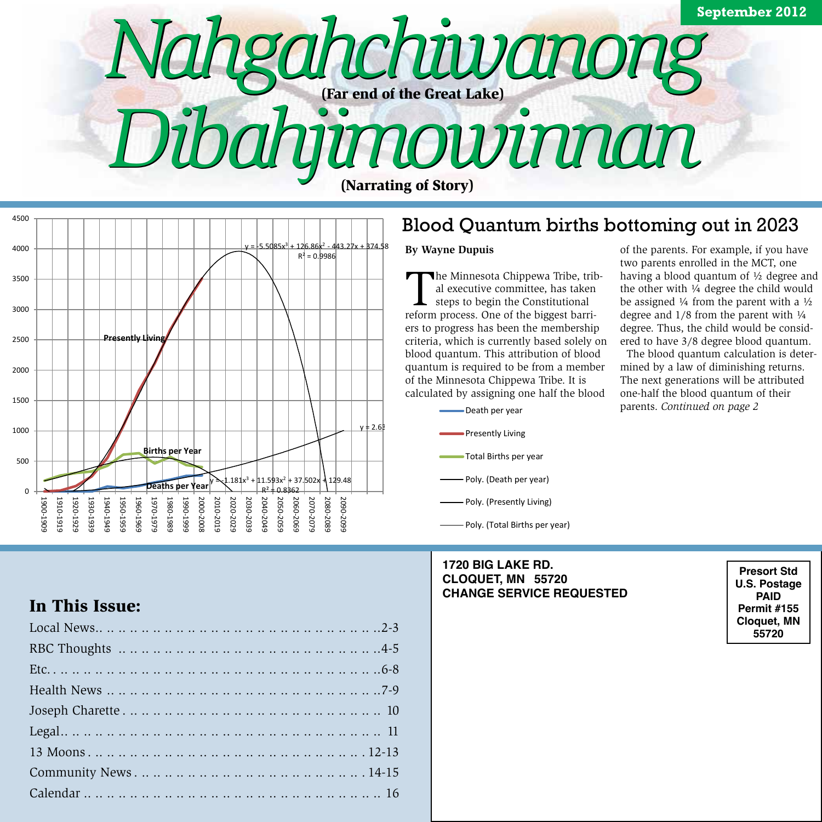



### Blood Quantum births bottoming out in 2023

#### **By Wayne Dupuis**

R² = 0.9657

steps to begin the Constitutional ers to progress has been the membership criteria, which is currently based solely on quantum is required to be from a member calculated by assigning one half the blood The Minnesota Chippewa Tribe, tribal executive committee, has taken reform process. One of the biggest barriblood quantum. This attribution of blood of the Minnesota Chippewa Tribe. It is



### **1720 BIG LAKE RD. CLOQUET, MN 55720 CHANGE SERVICE REQUESTED**

of the parents. For example, if you have two parents enrolled in the MCT, one having a blood quantum of ½ degree and the other with 1/4 degree the child would be assigned  $\frac{1}{4}$  from the parent with a  $\frac{1}{2}$ degree and  $1/8$  from the parent with  $\frac{1}{4}$ degree. Thus, the child would be considered to have 3/8 degree blood quantum.

 The blood quantum calculation is determined by a law of diminishing returns. The next generations will be attributed one-half the blood quantum of their parents. *Continued on page 2*

> **Presort Std U.S. Postage Paid Permit #155 Cloquet, MN 55720**

### In This Issue: **1.8362.000 External Structure**

| пи типо козис.      |  |
|---------------------|--|
|                     |  |
|                     |  |
|                     |  |
|                     |  |
|                     |  |
|                     |  |
|                     |  |
| Community News14-15 |  |
|                     |  |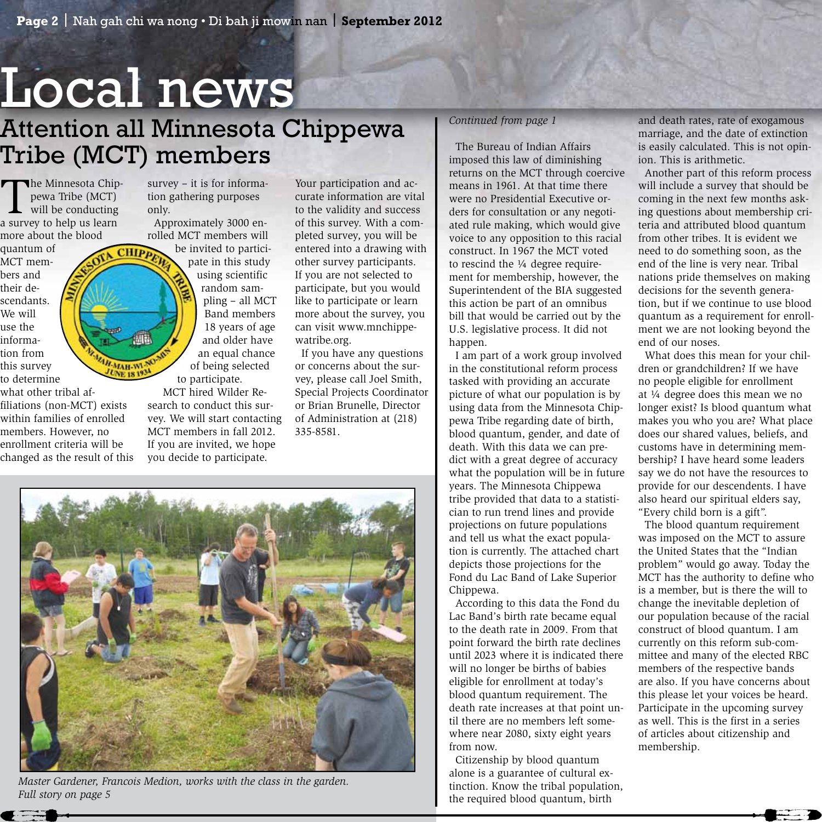# Local news

**CHIPp** 

AH-MAH-WI-UNE 18 19.

### Attention all Minnesota Chippewa Tribe (MCT) members

The Minnesota Chip-<br>
pewa Tribe (MCT)<br>
will be conducting<br>
a survey to belp us learn pewa Tribe (MCT) a survey to help us learn more about the blood

quantum of MCT members and their descendants. We will use the information from this survey to determine

what other tribal affiliations (non-MCT) exists within families of enrolled members. However, no enrollment criteria will be changed as the result of this survey – it is for information gathering purposes only.

 Approximately 3000 enrolled MCT members will

be invited to participate in this study using scientific random sampling – all MCT Band members 18 years of age and older have an equal chance of being selected to participate.

 MCT hired Wilder Research to conduct this survey. We will start contacting MCT members in fall 2012. If you are invited, we hope you decide to participate.

Your participation and accurate information are vital to the validity and success of this survey. With a completed survey, you will be entered into a drawing with other survey participants. If you are not selected to participate, but you would like to participate or learn more about the survey, you can visit www.mnchippewatribe.org.

 If you have any questions or concerns about the survey, please call Joel Smith, Special Projects Coordinator or Brian Brunelle, Director of Administration at (218) 335-8581.

### *Continued from page 1*

 The Bureau of Indian Affairs imposed this law of diminishing returns on the MCT through coercive means in 1961. At that time there were no Presidential Executive orders for consultation or any negotiated rule making, which would give voice to any opposition to this racial construct. In 1967 the MCT voted to rescind the  $\frac{1}{4}$  degree requirement for membership, however, the Superintendent of the BIA suggested this action be part of an omnibus bill that would be carried out by the U.S. legislative process. It did not happen.

 I am part of a work group involved in the constitutional reform process tasked with providing an accurate picture of what our population is by using data from the Minnesota Chippewa Tribe regarding date of birth, blood quantum, gender, and date of death. With this data we can predict with a great degree of accuracy what the population will be in future years. The Minnesota Chippewa tribe provided that data to a statistician to run trend lines and provide projections on future populations and tell us what the exact population is currently. The attached chart depicts those projections for the Fond du Lac Band of Lake Superior Chippewa.

 According to this data the Fond du Lac Band's birth rate became equal to the death rate in 2009. From that point forward the birth rate declines until 2023 where it is indicated there will no longer be births of babies eligible for enrollment at today's blood quantum requirement. The death rate increases at that point until there are no members left somewhere near 2080, sixty eight years from now.

 Citizenship by blood quantum alone is a guarantee of cultural extinction. Know the tribal population, the required blood quantum, birth

and death rates, rate of exogamous marriage, and the date of extinction is easily calculated. This is not opinion. This is arithmetic.

 Another part of this reform process will include a survey that should be coming in the next few months asking questions about membership criteria and attributed blood quantum from other tribes. It is evident we need to do something soon, as the end of the line is very near. Tribal nations pride themselves on making decisions for the seventh generation, but if we continue to use blood quantum as a requirement for enrollment we are not looking beyond the end of our noses.

 What does this mean for your children or grandchildren? If we have no people eligible for enrollment at ¼ degree does this mean we no longer exist? Is blood quantum what makes you who you are? What place does our shared values, beliefs, and customs have in determining membership? I have heard some leaders say we do not have the resources to provide for our descendents. I have also heard our spiritual elders say, "Every child born is a gift".

 The blood quantum requirement was imposed on the MCT to assure the United States that the "Indian problem" would go away. Today the MCT has the authority to define who is a member, but is there the will to change the inevitable depletion of our population because of the racial construct of blood quantum. I am currently on this reform sub-committee and many of the elected RBC members of the respective bands are also. If you have concerns about this please let your voices be heard. Participate in the upcoming survey as well. This is the first in a series of articles about citizenship and membership.



*Master Gardener, Francois Medion, works with the class in the garden. Full story on page 5*

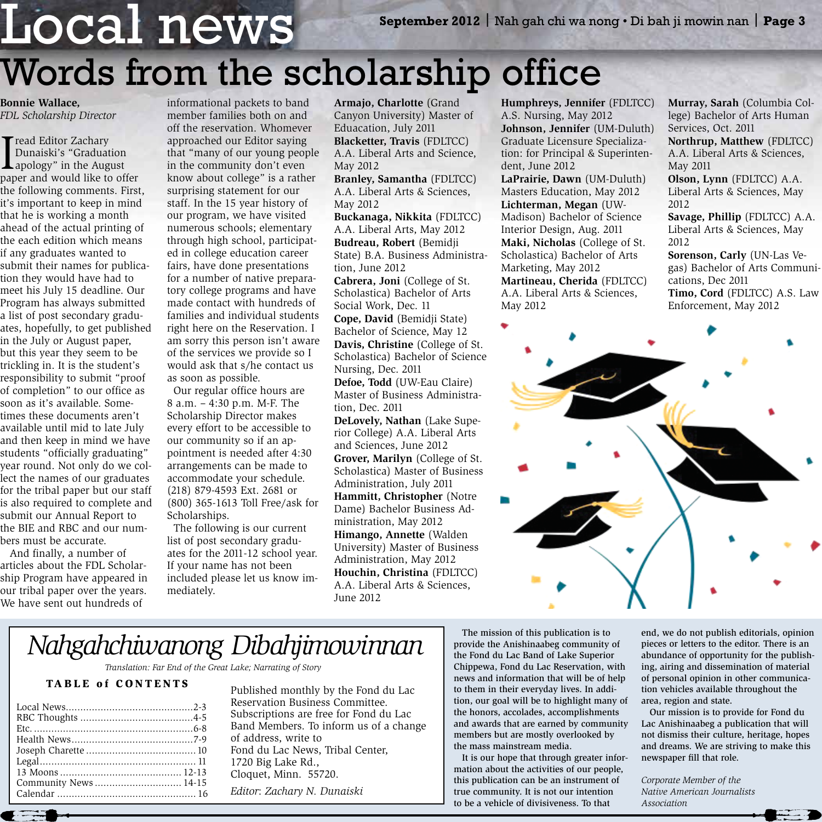### Local news **September 2012** | Nah gah chi wa nong • Di bah ji mowin nan | **Page 3** Words from the scholarship office

**Bonnie Wallace,**  *FDL Scholarship Director*

I read Editor Zachary<br>
Dunaiski's "Graduation<br>
apology" in the August<br>
paper and would like to off Dunaiski's "Graduation paper and would like to offer the following comments. First, it's important to keep in mind that he is working a month ahead of the actual printing of the each edition which means if any graduates wanted to submit their names for publication they would have had to meet his July 15 deadline. Our Program has always submitted a list of post secondary graduates, hopefully, to get published in the July or August paper, but this year they seem to be trickling in. It is the student's responsibility to submit "proof of completion" to our office as soon as it's available. Sometimes these documents aren't available until mid to late July and then keep in mind we have students "officially graduating" year round. Not only do we collect the names of our graduates for the tribal paper but our staff is also required to complete and submit our Annual Report to the BIE and RBC and our numbers must be accurate.

 And finally, a number of articles about the FDL Scholarship Program have appeared in our tribal paper over the years. We have sent out hundreds of

informational packets to band member families both on and off the reservation. Whomever approached our Editor saying that "many of our young people in the community don't even know about college" is a rather surprising statement for our staff. In the 15 year history of our program, we have visited numerous schools; elementary through high school, participated in college education career fairs, have done presentations for a number of native preparatory college programs and have made contact with hundreds of families and individual students right here on the Reservation. I am sorry this person isn't aware of the services we provide so I would ask that s/he contact us as soon as possible.

 Our regular office hours are 8 a.m. – 4:30 p.m. M-F. The Scholarship Director makes every effort to be accessible to our community so if an appointment is needed after 4:30 arrangements can be made to accommodate your schedule. (218) 879-4593 Ext. 2681 or (800) 365-1613 Toll Free/ask for Scholarships.

 The following is our current list of post secondary graduates for the 2011-12 school year. If your name has not been included please let us know immediately.

**Armajo, Charlotte** (Grand Canyon University) Master of Eduacation, July 2011 **Blacketter, Travis** (FDLTCC) A.A. Liberal Arts and Science, May 2012

**Branley, Samantha** (FDLTCC) A.A. Liberal Arts & Sciences, May 2012

**Buckanaga, Nikkita** (FDLTCC) A.A. Liberal Arts, May 2012 **Budreau, Robert** (Bemidji State) B.A. Business Administration, June 2012

**Cabrera, Joni** (College of St. Scholastica) Bachelor of Arts Social Work, Dec. 11

**Cope, David** (Bemidji State) Bachelor of Science, May 12 **Davis, Christine** (College of St. Scholastica) Bachelor of Science Nursing, Dec. 2011

**Defoe, Todd** (UW-Eau Claire) Master of Business Administration, Dec. 2011

**DeLovely, Nathan** (Lake Superior College) A.A. Liberal Arts and Sciences, June 2012

**Grover, Marilyn** (College of St. Scholastica) Master of Business Administration, July 2011 **Hammitt, Christopher** (Notre Dame) Bachelor Business Administration, May 2012 **Himango, Annette** (Walden University) Master of Business Administration, May 2012 **Houchin, Christina** (FDLTCC) A.A. Liberal Arts & Sciences, June 2012

**Humphreys, Jennifer** (FDLTCC) A.S. Nursing, May 2012 **Johnson, Jennifer** (UM-Duluth) Graduate Licensure Specialization: for Principal & Superintendent, June 2012

**LaPrairie, Dawn** (UM-Duluth) Masters Education, May 2012 **Lichterman, Megan** (UW-Madison) Bachelor of Science Interior Design, Aug. 2011 **Maki, Nicholas** (College of St. Scholastica) Bachelor of Arts Marketing, May 2012 **Martineau, Cherida** (FDLTCC) A.A. Liberal Arts & Sciences, May 2012

**Murray, Sarah** (Columbia College) Bachelor of Arts Human Services, Oct. 2011

**Northrup, Matthew** (FDLTCC) A.A. Liberal Arts & Sciences, May 2011

**Olson, Lynn** (FDLTCC) A.A. Liberal Arts & Sciences, May 2012

**Savage, Phillip** (FDLTCC) A.A. Liberal Arts & Sciences, May 2012

**Sorenson, Carly** (UN-Las Vegas) Bachelor of Arts Communications, Dec 2011 **Timo, Cord** (FDLTCC) A.S. Law Enforcement, May 2012



### *Nahgahchiwanong Dibahjimowinnan*

*Translation: Far End of the Great Lake; Narrating of Story*

### TABLE of CONTENTS

| Community News 14-15 |  |
|----------------------|--|
|                      |  |
|                      |  |

Published monthly by the Fond du Lac Reservation Business Committee. Subscriptions are free for Fond du Lac Band Members. To inform us of a change of address, write to Fond du Lac News, Tribal Center, 1720 Big Lake Rd., Cloquet, Minn. 55720.

*Editor*: *Zachary N. Dunaiski*

 The mission of this publication is to provide the Anishinaabeg community of the Fond du Lac Band of Lake Superior Chippewa, Fond du Lac Reservation, with news and information that will be of help to them in their everyday lives. In addition, our goal will be to highlight many of the honors, accolades, accomplishments and awards that are earned by community members but are mostly overlooked by the mass mainstream media.

 It is our hope that through greater information about the activities of our people, this publication can be an instrument of true community. It is not our intention to be a vehicle of divisiveness. To that

end, we do not publish editorials, opinion pieces or letters to the editor. There is an abundance of opportunity for the publishing, airing and dissemination of material of personal opinion in other communication vehicles available throughout the area, region and state.

 Our mission is to provide for Fond du Lac Anishinaabeg a publication that will not dismiss their culture, heritage, hopes and dreams. We are striving to make this newspaper fill that role.

*Corporate Member of the Native American Journalists Association*



 $\leftarrow$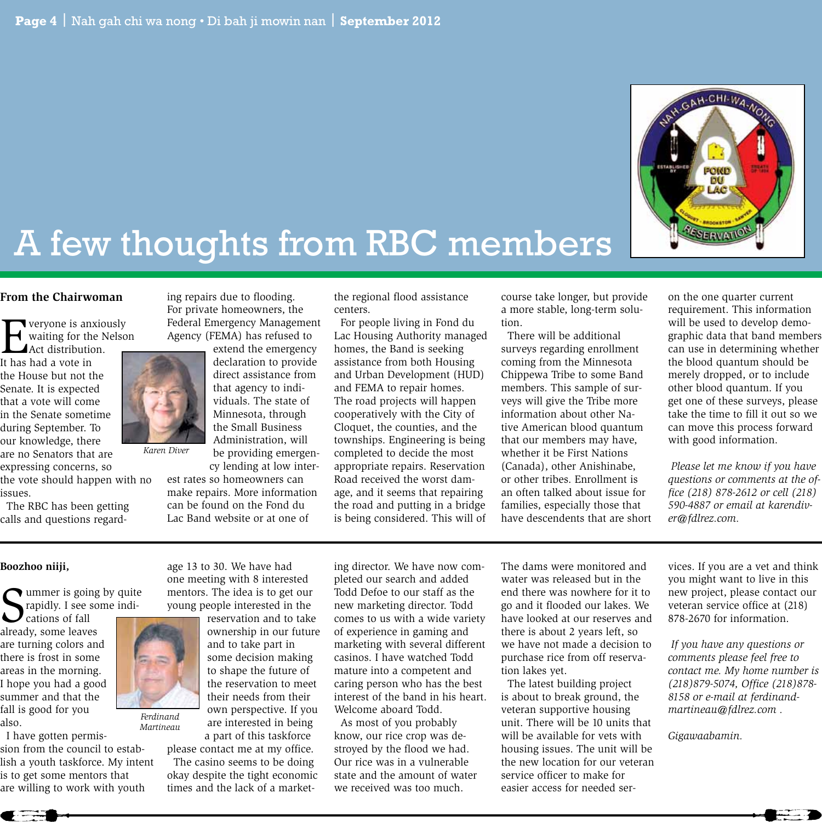

## A few thoughts from RBC members

#### **From the Chairwoman**

**Example 18** veryone is anxiously<br>waiting for the Nelso<br>Act distribution. waiting for the Nelson

Act distribution. It has had a vote in the House but not the Senate. It is expected that a vote will come in the Senate sometime during September. To our knowledge, there are no Senators that are expressing concerns, so

the vote should happen with no issues.

 The RBC has been getting calls and questions regarding repairs due to flooding. For private homeowners, the Federal Emergency Management Agency (FEMA) has refused to

extend the emergency declaration to provide direct assistance from that agency to individuals. The state of Minnesota, through the Small Business Administration, will be providing emergen-

cy lending at low interest rates so homeowners can make repairs. More information can be found on the Fond du Lac Band website or at one of

the regional flood assistance centers.

 For people living in Fond du Lac Housing Authority managed homes, the Band is seeking assistance from both Housing and Urban Development (HUD) and FEMA to repair homes. The road projects will happen cooperatively with the City of Cloquet, the counties, and the townships. Engineering is being completed to decide the most appropriate repairs. Reservation Road received the worst damage, and it seems that repairing the road and putting in a bridge is being considered. This will of course take longer, but provide a more stable, long-term solution.

 There will be additional surveys regarding enrollment coming from the Minnesota Chippewa Tribe to some Band members. This sample of surveys will give the Tribe more information about other Native American blood quantum that our members may have, whether it be First Nations (Canada), other Anishinabe, or other tribes. Enrollment is an often talked about issue for families, especially those that have descendents that are short on the one quarter current requirement. This information will be used to develop demographic data that band members can use in determining whether the blood quantum should be merely dropped, or to include other blood quantum. If you get one of these surveys, please take the time to fill it out so we can move this process forward with good information.

 *Please let me know if you have questions or comments at the office (218) 878-2612 or cell (218) 590-4887 or email at karendiver@fdlrez.com.*

### **Boozhoo niiji,**

Summer is going by quite<br>
Sprapidly. I see some indi-<br>
plready some leaves rapidly. I see some indi-

cations of fall already, some leaves are turning colors and there is frost in some areas in the morning. I hope you had a good summer and that the fall is good for you also.

 I have gotten permission from the council to establish a youth taskforce. My intent is to get some mentors that are willing to work with youth *Martineau*



*Ferdinand* 

*Karen Diver*

age 13 to 30. We have had

ownership in our future and to take part in some decision making to shape the future of the reservation to meet their needs from their own perspective. If you are interested in being a part of this taskforce

please contact me at my office. The casino seems to be doing okay despite the tight economic times and the lack of a marketing director. We have now completed our search and added Todd Defoe to our staff as the new marketing director. Todd comes to us with a wide variety of experience in gaming and marketing with several different casinos. I have watched Todd mature into a competent and caring person who has the best interest of the band in his heart. Welcome aboard Todd.

 As most of you probably know, our rice crop was destroyed by the flood we had. Our rice was in a vulnerable state and the amount of water we received was too much.

The dams were monitored and water was released but in the end there was nowhere for it to go and it flooded our lakes. We have looked at our reserves and there is about 2 years left, so we have not made a decision to purchase rice from off reservation lakes yet.

 The latest building project is about to break ground, the veteran supportive housing unit. There will be 10 units that will be available for vets with housing issues. The unit will be the new location for our veteran service officer to make for easier access for needed ser-

vices. If you are a vet and think you might want to live in this new project, please contact our veteran service office at (218) 878-2670 for information.

 *If you have any questions or comments please feel free to contact me. My home number is (218)879-5074, Office (218)878- 8158 or e-mail at ferdinandmartineau@fdlrez.com .*

*Gigawaabamin.*

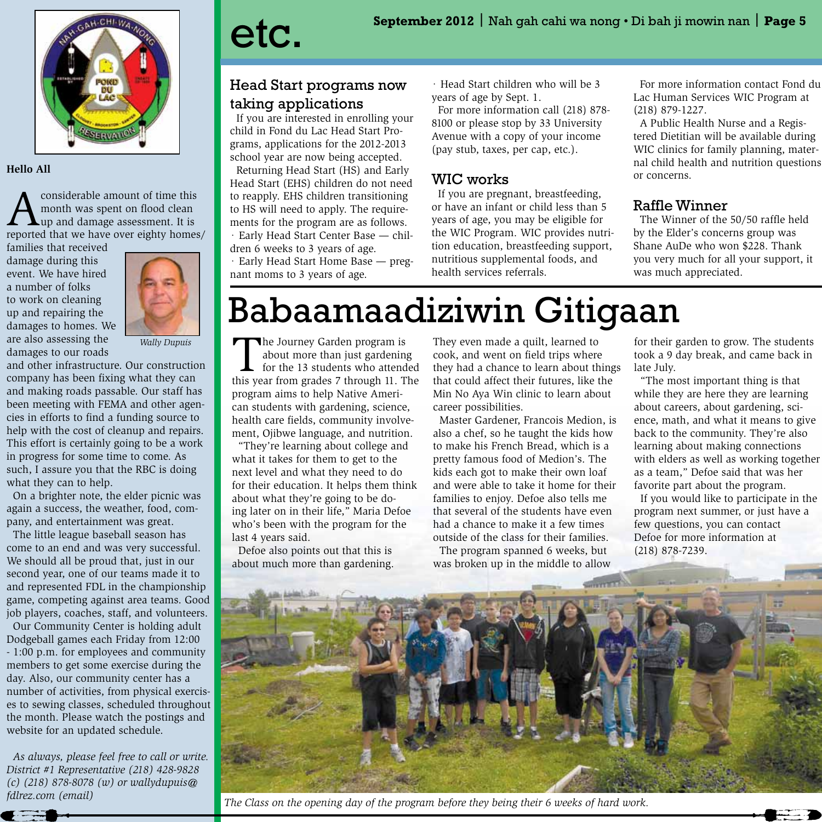

#### **Hello All**

considerable amount of time this month was spent on flood clean up and damage assessment. It is reported that we have over eighty homes/

families that received damage during this event. We have hired a number of folks to work on cleaning up and repairing the damages to homes. We are also assessing the damages to our roads



and other infrastructure. Our construction company has been fixing what they can and making roads passable. Our staff has been meeting with FEMA and other agencies in efforts to find a funding source to help with the cost of cleanup and repairs. This effort is certainly going to be a work in progress for some time to come. As such, I assure you that the RBC is doing what they can to help.

 On a brighter note, the elder picnic was again a success, the weather, food, company, and entertainment was great.

 The little league baseball season has come to an end and was very successful. We should all be proud that, just in our second year, one of our teams made it to and represented FDL in the championship game, competing against area teams. Good job players, coaches, staff, and volunteers.

 Our Community Center is holding adult Dodgeball games each Friday from 12:00 - 1:00 p.m. for employees and community members to get some exercise during the day. Also, our community center has a number of activities, from physical exercises to sewing classes, scheduled throughout the month. Please watch the postings and website for an updated schedule.

 *As always, please feel free to call or write. District #1 Representative (218) 428-9828 (c) (218) 878-8078 (w) or wallydupuis@ fdlrez.com (email)* 

### Head Start programs now taking applications

 If you are interested in enrolling your child in Fond du Lac Head Start Programs, applications for the 2012-2013 school year are now being accepted. Returning Head Start (HS) and Early Head Start (EHS) children do not need to reapply. EHS children transitioning to HS will need to apply. The requirements for the program are as follows. · Early Head Start Center Base — chil-

dren 6 weeks to 3 years of age.

· Early Head Start Home Base — pregnant moms to 3 years of age.

· Head Start children who will be 3 years of age by Sept. 1.

 For more information call (218) 878- 8100 or please stop by 33 University Avenue with a copy of your income (pay stub, taxes, per cap, etc.).

### WIC works

 If you are pregnant, breastfeeding, or have an infant or child less than 5 years of age, you may be eligible for the WIC Program. WIC provides nutrition education, breastfeeding support, nutritious supplemental foods, and health services referrals.

 For more information contact Fond du Lac Human Services WIC Program at (218) 879-1227.

 A Public Health Nurse and a Registered Dietitian will be available during WIC clinics for family planning, maternal child health and nutrition questions or concerns.

### Raffle Winner

 The Winner of the 50/50 raffle held by the Elder's concerns group was Shane AuDe who won \$228. Thank you very much for all your support, it was much appreciated.

## Babaamaadiziwin Gitigaan

*Wally Dupuis*<br> **The Journey Garden program is**<br> **The Journey Garden program is**<br> **The Journey Garden program is**<br> **The 13 students who attend<br>
this year from grades 7 through 11 Theory** about more than just gardening for the 13 students who attended this year from grades 7 through 11. The program aims to help Native American students with gardening, science, health care fields, community involvement, Ojibwe language, and nutrition.

 "They're learning about college and what it takes for them to get to the next level and what they need to do for their education. It helps them think about what they're going to be doing later on in their life," Maria Defoe who's been with the program for the last 4 years said.

 Defoe also points out that this is about much more than gardening.

They even made a quilt, learned to cook, and went on field trips where they had a chance to learn about things that could affect their futures, like the Min No Aya Win clinic to learn about career possibilities.

 Master Gardener, Francois Medion, is also a chef, so he taught the kids how to make his French Bread, which is a pretty famous food of Medion's. The kids each got to make their own loaf and were able to take it home for their families to enjoy. Defoe also tells me that several of the students have even had a chance to make it a few times outside of the class for their families. The program spanned 6 weeks, but

was broken up in the middle to allow

for their garden to grow. The students took a 9 day break, and came back in late July.

 "The most important thing is that while they are here they are learning about careers, about gardening, science, math, and what it means to give back to the community. They're also learning about making connections with elders as well as working together as a team," Defoe said that was her favorite part about the program.

 If you would like to participate in the program next summer, or just have a few questions, you can contact Defoe for more information at (218) 878-7239.



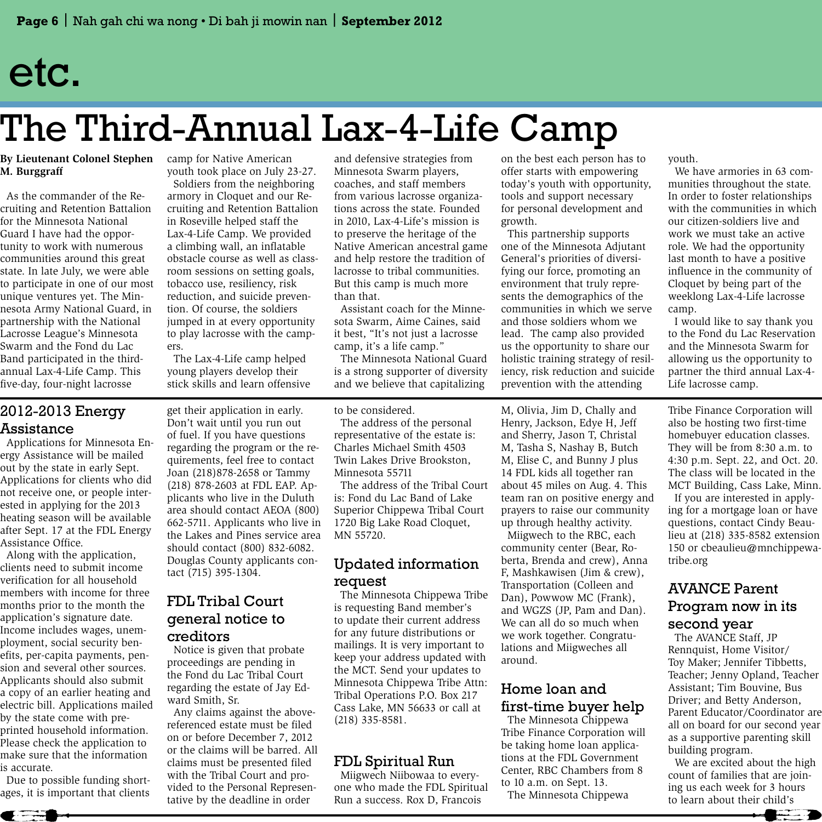## etc.

# The Third-Annual Lax-4-Life Camp

### **By Lieutenant Colonel Stephen M. Burggraff**

 As the commander of the Recruiting and Retention Battalion for the Minnesota National Guard I have had the opportunity to work with numerous communities around this great state. In late July, we were able to participate in one of our most unique ventures yet. The Minnesota Army National Guard, in partnership with the National Lacrosse League's Minnesota Swarm and the Fond du Lac Band participated in the thirdannual Lax-4-Life Camp. This five-day, four-night lacrosse

camp for Native American youth took place on July 23-27.

 Soldiers from the neighboring armory in Cloquet and our Recruiting and Retention Battalion in Roseville helped staff the Lax-4-Life Camp. We provided a climbing wall, an inflatable obstacle course as well as classroom sessions on setting goals, tobacco use, resiliency, risk reduction, and suicide prevention. Of course, the soldiers jumped in at every opportunity to play lacrosse with the campers.

 The Lax-4-Life camp helped young players develop their stick skills and learn offensive and defensive strategies from Minnesota Swarm players, coaches, and staff members from various lacrosse organizations across the state. Founded in 2010, Lax-4-Life's mission is to preserve the heritage of the Native American ancestral game and help restore the tradition of lacrosse to tribal communities. But this camp is much more than that.

 Assistant coach for the Minnesota Swarm, Aime Caines, said it best, "It's not just a lacrosse camp, it's a life camp."

 The Minnesota National Guard is a strong supporter of diversity and we believe that capitalizing

on the best each person has to offer starts with empowering today's youth with opportunity, tools and support necessary for personal development and growth.

 This partnership supports one of the Minnesota Adjutant General's priorities of diversifying our force, promoting an environment that truly represents the demographics of the communities in which we serve and those soldiers whom we lead. The camp also provided us the opportunity to share our holistic training strategy of resiliency, risk reduction and suicide prevention with the attending

youth.

 We have armories in 63 communities throughout the state. In order to foster relationships with the communities in which our citizen-soldiers live and work we must take an active role. We had the opportunity last month to have a positive influence in the community of Cloquet by being part of the weeklong Lax-4-Life lacrosse camp.

 I would like to say thank you to the Fond du Lac Reservation and the Minnesota Swarm for allowing us the opportunity to partner the third annual Lax-4- Life lacrosse camp.

### 2012-2013 Energy Assistance

 Applications for Minnesota Energy Assistance will be mailed out by the state in early Sept. Applications for clients who did not receive one, or people interested in applying for the 2013 heating season will be available after Sept. 17 at the FDL Energy Assistance Office.

 Along with the application, clients need to submit income verification for all household members with income for three months prior to the month the application's signature date. Income includes wages, unemployment, social security benefits, per-capita payments, pension and several other sources. Applicants should also submit a copy of an earlier heating and electric bill. Applications mailed by the state come with preprinted household information. Please check the application to make sure that the information is accurate.

 Due to possible funding shortages, it is important that clients

 $\leftarrow$ 

get their application in early. Don't wait until you run out of fuel. If you have questions regarding the program or the requirements, feel free to contact Joan (218)878-2658 or Tammy (218) 878-2603 at FDL EAP. Applicants who live in the Duluth area should contact AEOA (800) 662-5711. Applicants who live in the Lakes and Pines service area should contact (800) 832-6082. Douglas County applicants contact (715) 395-1304.

### FDL Tribal Court general notice to creditors

 Notice is given that probate proceedings are pending in the Fond du Lac Tribal Court regarding the estate of Jay Edward Smith, Sr.

 Any claims against the abovereferenced estate must be filed on or before December 7, 2012 or the claims will be barred. All claims must be presented filed with the Tribal Court and provided to the Personal Representative by the deadline in order

to be considered.

 The address of the personal representative of the estate is: Charles Michael Smith 4503 Twin Lakes Drive Brookston, Minnesota 55711

 The address of the Tribal Court is: Fond du Lac Band of Lake Superior Chippewa Tribal Court 1720 Big Lake Road Cloquet, MN 55720.

### Updated information request

 The Minnesota Chippewa Tribe is requesting Band member's to update their current address for any future distributions or mailings. It is very important to keep your address updated with the MCT. Send your updates to Minnesota Chippewa Tribe Attn: Tribal Operations P.O. Box 217 Cass Lake, MN 56633 or call at (218) 335-8581.

### FDL Spiritual Run

 Miigwech Niibowaa to everyone who made the FDL Spiritual Run a success. Rox D, Francois

M, Olivia, Jim D, Chally and Henry, Jackson, Edye H, Jeff and Sherry, Jason T, Christal M, Tasha S, Nashay B, Butch M, Elise C, and Bunny J plus 14 FDL kids all together ran about 45 miles on Aug. 4. This team ran on positive energy and prayers to raise our community up through healthy activity. Miigwech to the RBC, each community center (Bear, Roberta, Brenda and crew), Anna F, Mashkawisen (Jim & crew), Transportation (Colleen and Dan), Powwow MC (Frank), and WGZS (JP, Pam and Dan). We can all do so much when we work together. Congratulations and Miigweches all around.

### Home loan and first-time buyer help

 The Minnesota Chippewa Tribe Finance Corporation will be taking home loan applications at the FDL Government Center, RBC Chambers from 8 to 10 a.m. on Sept. 13. The Minnesota Chippewa

Tribe Finance Corporation will also be hosting two first-time homebuyer education classes. They will be from 8:30 a.m. to 4:30 p.m. Sept. 22, and Oct. 20. The class will be located in the MCT Building, Cass Lake, Minn. If you are interested in applying for a mortgage loan or have questions, contact Cindy Beaulieu at (218) 335-8582 extension 150 or cbeaulieu@mnchippewatribe.org

### AVANCE Parent Program now in its second year

 The AVANCE Staff, JP Rennquist, Home Visitor/ Toy Maker; Jennifer Tibbetts, Teacher; Jenny Opland, Teacher Assistant; Tim Bouvine, Bus Driver; and Betty Anderson, Parent Educator/Coordinator are all on board for our second year as a supportive parenting skill building program.

 We are excited about the high count of families that are joining us each week for 3 hours to learn about their child's

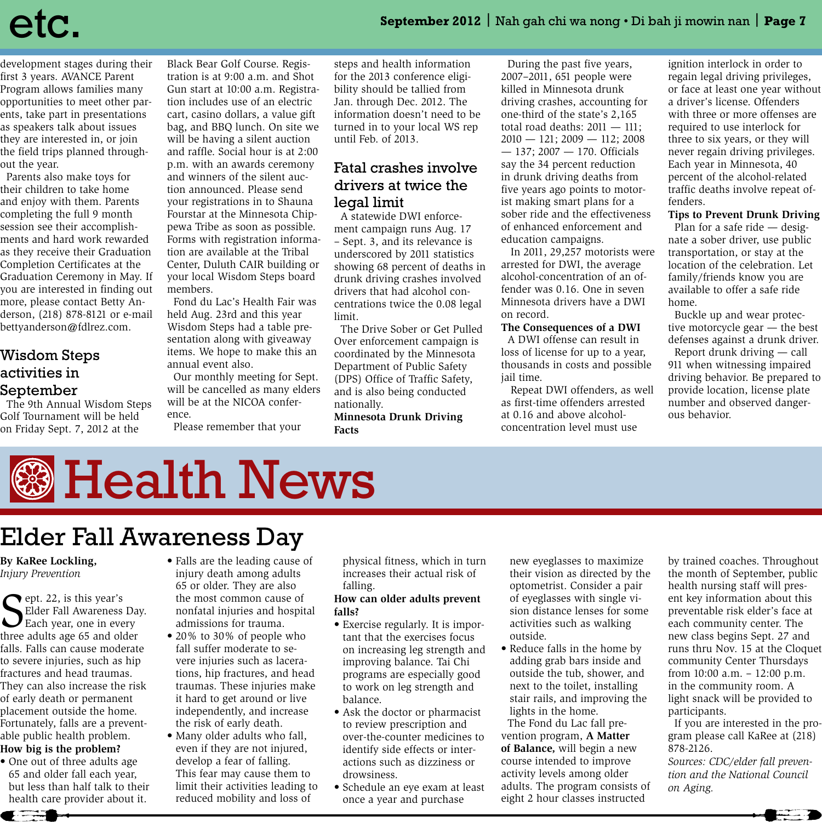development stages during their first 3 years. AVANCE Parent Program allows families many opportunities to meet other parents, take part in presentations as speakers talk about issues they are interested in, or join the field trips planned throughout the year.

 Parents also make toys for their children to take home and enjoy with them. Parents completing the full 9 month session see their accomplishments and hard work rewarded as they receive their Graduation Completion Certificates at the Graduation Ceremony in May. If you are interested in finding out more, please contact Betty Anderson, (218) 878-8121 or e-mail bettyanderson@fdlrez.com.

### Wisdom Steps activities in September

 The 9th Annual Wisdom Steps Golf Tournament will be held on Friday Sept. 7, 2012 at the

Black Bear Golf Course. Registration is at 9:00 a.m. and Shot Gun start at 10:00 a.m. Registration includes use of an electric cart, casino dollars, a value gift bag, and BBQ lunch. On site we will be having a silent auction and raffle. Social hour is at 2:00 p.m. with an awards ceremony and winners of the silent auction announced. Please send your registrations in to Shauna Fourstar at the Minnesota Chippewa Tribe as soon as possible. Forms with registration information are available at the Tribal Center, Duluth CAIR building or your local Wisdom Steps board members.

 Fond du Lac's Health Fair was held Aug. 23rd and this year Wisdom Steps had a table presentation along with giveaway items. We hope to make this an annual event also.

 Our monthly meeting for Sept. will be cancelled as many elders will be at the NICOA conference.

Please remember that your

steps and health information for the 2013 conference eligibility should be tallied from Jan. through Dec. 2012. The information doesn't need to be turned in to your local WS rep until Feb. of 2013.

### Fatal crashes involve drivers at twice the legal limit

 A statewide DWI enforcement campaign runs Aug. 17 – Sept. 3, and its relevance is underscored by 2011 statistics showing 68 percent of deaths in drunk driving crashes involved drivers that had alcohol concentrations twice the 0.08 legal limit.

 The Drive Sober or Get Pulled Over enforcement campaign is coordinated by the Minnesota Department of Public Safety (DPS) Office of Traffic Safety, and is also being conducted nationally.

**Minnesota Drunk Driving Facts** 

 During the past five years, 2007–2011, 651 people were killed in Minnesota drunk driving crashes, accounting for one-third of the state's 2,165 total road deaths: 2011 — 111; 2010 — 121; 2009 — 112; 2008 — 137; 2007 — 170. Officials say the 34 percent reduction in drunk driving deaths from five years ago points to motorist making smart plans for a sober ride and the effectiveness of enhanced enforcement and education campaigns.

 In 2011, 29,257 motorists were arrested for DWI, the average alcohol-concentration of an offender was 0.16. One in seven Minnesota drivers have a DWI on record.

#### **The Consequences of a DWI**

 A DWI offense can result in loss of license for up to a year, thousands in costs and possible jail time.

 Repeat DWI offenders, as well as first-time offenders arrested at 0.16 and above alcoholconcentration level must use

ignition interlock in order to regain legal driving privileges, or face at least one year without a driver's license. Offenders with three or more offenses are required to use interlock for three to six years, or they will never regain driving privileges. Each year in Minnesota, 40 percent of the alcohol-related traffic deaths involve repeat offenders.

#### **Tips to Prevent Drunk Driving**

 Plan for a safe ride — designate a sober driver, use public transportation, or stay at the location of the celebration. Let family/friends know you are available to offer a safe ride home.

 Buckle up and wear protective motorcycle gear — the best defenses against a drunk driver. Report drunk driving — call 911 when witnessing impaired driving behavior. Be prepared to provide location, license plate number and observed dangerous behavior.

# **B** Health News

### Elder Fall Awareness Day

#### **By KaRee Lockling,**  *Injury Prevention*

Sept. 22, is this year's<br>Elder Fall Awareness<br>Each year, one in ever Elder Fall Awareness Day. Each year, one in every three adults age 65 and older falls. Falls can cause moderate to severe injuries, such as hip fractures and head traumas. They can also increase the risk of early death or permanent placement outside the home. Fortunately, falls are a preventable public health problem.

**How big is the problem?**

 $\leftarrow$ 

• One out of three adults age 65 and older fall each year, but less than half talk to their health care provider about it.

- Falls are the leading cause of injury death among adults 65 or older. They are also the most common cause of nonfatal injuries and hospital admissions for trauma.
- 20% to 30% of people who fall suffer moderate to severe injuries such as lacerations, hip fractures, and head traumas. These injuries make it hard to get around or live independently, and increase the risk of early death.
- Many older adults who fall, even if they are not injured, develop a fear of falling. This fear may cause them to limit their activities leading to reduced mobility and loss of

physical fitness, which in turn increases their actual risk of falling.

#### **How can older adults prevent falls?**

- Exercise regularly. It is important that the exercises focus on increasing leg strength and improving balance. Tai Chi programs are especially good to work on leg strength and balance.
- Ask the doctor or pharmacist to review prescription and over-the-counter medicines to identify side effects or interactions such as dizziness or drowsiness.
- Schedule an eye exam at least once a year and purchase

new eyeglasses to maximize their vision as directed by the optometrist. Consider a pair of eyeglasses with single vision distance lenses for some activities such as walking outside.

• Reduce falls in the home by adding grab bars inside and outside the tub, shower, and next to the toilet, installing stair rails, and improving the lights in the home.

 The Fond du Lac fall prevention program, **A Matter of Balance,** will begin a new course intended to improve activity levels among older adults. The program consists of eight 2 hour classes instructed

by trained coaches. Throughout the month of September, public health nursing staff will present key information about this preventable risk elder's face at each community center. The new class begins Sept. 27 and runs thru Nov. 15 at the Cloquet community Center Thursdays from 10:00 a.m. – 12:00 p.m. in the community room. A light snack will be provided to participants.

 If you are interested in the program please call KaRee at (218) 878-2126.

*Sources: CDC/elder fall prevention and the National Council on Aging.* 

 $\blacksquare$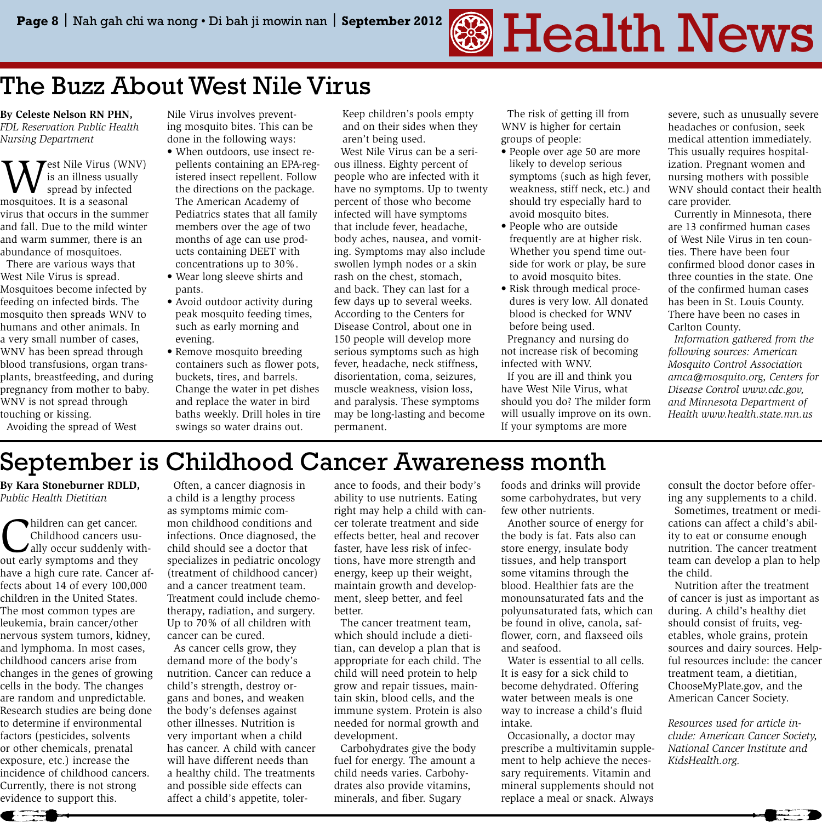# Page 8 | Nah gah chi wa nong • Di bah ji mowin nan | September 2012 **Gegard Health News**

### The Buzz About West Nile Virus

**By Celeste Nelson RN PHN,**  *FDL Reservation Public Health Nursing Department*

West Nile Virus (WNV)<br>spread by infected<br>mosquitoes, It is a seasonal is an illness usually spread by infected mosquitoes. It is a seasonal virus that occurs in the summer and fall. Due to the mild winter and warm summer, there is an abundance of mosquitoes.

 There are various ways that West Nile Virus is spread. Mosquitoes become infected by feeding on infected birds. The mosquito then spreads WNV to humans and other animals. In a very small number of cases, WNV has been spread through blood transfusions, organ transplants, breastfeeding, and during pregnancy from mother to baby. WNV is not spread through touching or kissing.

Nile Virus involves preventing mosquito bites. This can be done in the following ways:

- When outdoors, use insect repellents containing an EPA-registered insect repellent. Follow the directions on the package. The American Academy of Pediatrics states that all family members over the age of two months of age can use products containing DEET with concentrations up to 30%.
- Wear long sleeve shirts and pants.
- Avoid outdoor activity during peak mosquito feeding times, such as early morning and evening.
- Remove mosquito breeding containers such as flower pots, buckets, tires, and barrels. Change the water in pet dishes and replace the water in bird baths weekly. Drill holes in tire swings so water drains out.

Keep children's pools empty and on their sides when they aren't being used.

 West Nile Virus can be a serious illness. Eighty percent of people who are infected with it have no symptoms. Up to twenty percent of those who become infected will have symptoms that include fever, headache, body aches, nausea, and vomiting. Symptoms may also include swollen lymph nodes or a skin rash on the chest, stomach, and back. They can last for a few days up to several weeks. According to the Centers for Disease Control, about one in 150 people will develop more serious symptoms such as high fever, headache, neck stiffness, disorientation, coma, seizures, muscle weakness, vision loss, and paralysis. These symptoms may be long-lasting and become permanent.

 The risk of getting ill from WNV is higher for certain groups of people:

- People over age 50 are more likely to develop serious symptoms (such as high fever, weakness, stiff neck, etc.) and should try especially hard to avoid mosquito bites.
- People who are outside frequently are at higher risk. Whether you spend time outside for work or play, be sure to avoid mosquito bites.
- Risk through medical procedures is very low. All donated blood is checked for WNV before being used.

 Pregnancy and nursing do not increase risk of becoming infected with WNV.

 If you are ill and think you have West Nile Virus, what should you do? The milder form will usually improve on its own. If your symptoms are more

severe, such as unusually severe headaches or confusion, seek medical attention immediately. This usually requires hospitalization. Pregnant women and nursing mothers with possible WNV should contact their health care provider.

 Currently in Minnesota, there are 13 confirmed human cases of West Nile Virus in ten counties. There have been four confirmed blood donor cases in three counties in the state. One of the confirmed human cases has been in St. Louis County. There have been no cases in Carlton County.

 *Information gathered from the following sources: American Mosquito Control Association amca@mosquito.org, Centers for Disease Control www.cdc.gov, and Minnesota Department of Health www.health.state.mn.us*

### September is Childhood Cancer Awareness month

**By Kara Stoneburner RDLD,**  *Public Health Dietitian*

Avoiding the spread of West

Children can get cancer.<br>
Childhood cancers usu-<br>
ally occur suddenly with-<br>
out early symptoms and they Childhood cancers usuout early symptoms and they have a high cure rate. Cancer affects about 14 of every 100,000 children in the United States. The most common types are leukemia, brain cancer/other nervous system tumors, kidney, and lymphoma. In most cases, childhood cancers arise from changes in the genes of growing cells in the body. The changes are random and unpredictable. Research studies are being done to determine if environmental factors (pesticides, solvents or other chemicals, prenatal exposure, etc.) increase the incidence of childhood cancers. Currently, there is not strong evidence to support this.

 Often, a cancer diagnosis in a child is a lengthy process as symptoms mimic common childhood conditions and infections. Once diagnosed, the child should see a doctor that specializes in pediatric oncology (treatment of childhood cancer) and a cancer treatment team. Treatment could include chemotherapy, radiation, and surgery. Up to 70% of all children with cancer can be cured.

 As cancer cells grow, they demand more of the body's nutrition. Cancer can reduce a child's strength, destroy organs and bones, and weaken the body's defenses against other illnesses. Nutrition is very important when a child has cancer. A child with cancer will have different needs than a healthy child. The treatments and possible side effects can affect a child's appetite, toler-

ance to foods, and their body's ability to use nutrients. Eating right may help a child with cancer tolerate treatment and side effects better, heal and recover faster, have less risk of infections, have more strength and energy, keep up their weight, maintain growth and development, sleep better, and feel better.

 The cancer treatment team, which should include a dietitian, can develop a plan that is appropriate for each child. The child will need protein to help grow and repair tissues, maintain skin, blood cells, and the immune system. Protein is also needed for normal growth and development.

 Carbohydrates give the body fuel for energy. The amount a child needs varies. Carbohydrates also provide vitamins, minerals, and fiber. Sugary

foods and drinks will provide some carbohydrates, but very few other nutrients.

 Another source of energy for the body is fat. Fats also can store energy, insulate body tissues, and help transport some vitamins through the blood. Healthier fats are the monounsaturated fats and the polyunsaturated fats, which can be found in olive, canola, safflower, corn, and flaxseed oils and seafood.

 Water is essential to all cells. It is easy for a sick child to become dehydrated. Offering water between meals is one way to increase a child's fluid intake.

 Occasionally, a doctor may prescribe a multivitamin supplement to help achieve the necessary requirements. Vitamin and mineral supplements should not replace a meal or snack. Always

consult the doctor before offering any supplements to a child. Sometimes, treatment or medications can affect a child's ability to eat or consume enough nutrition. The cancer treatment team can develop a plan to help the child.

 Nutrition after the treatment of cancer is just as important as during. A child's healthy diet should consist of fruits, vegetables, whole grains, protein sources and dairy sources. Helpful resources include: the cancer treatment team, a dietitian, ChooseMyPlate.gov, and the American Cancer Society.

*Resources used for article include: American Cancer Society, National Cancer Institute and KidsHealth.org.*

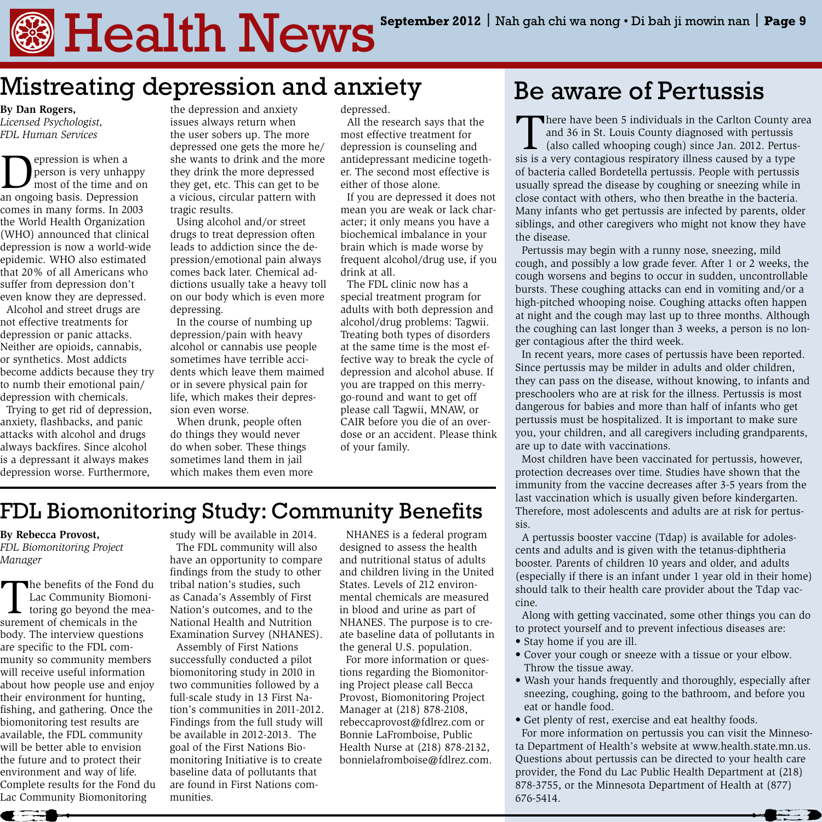# $\blacksquare$  Health  $\texttt{News}$ <sup>September 2012 | Nah gah chi wa nong • Di bah ji mowin nan | Page 9</sup>

### Mistreating depression and anxiety

**By Dan Rogers,**  *Licensed Psychologist, FDL Human Services*

**Depression is when a**<br>
most of the time and on<br> **an ongoing basis** Depression person is very unhappy an ongoing basis. Depression comes in many forms. In 2003 the World Health Organization (WHO) announced that clinical depression is now a world-wide epidemic. WHO also estimated that 20% of all Americans who suffer from depression don't even know they are depressed. Alcohol and street drugs are

not effective treatments for depression or panic attacks. Neither are opioids, cannabis, or synthetics. Most addicts become addicts because they try to numb their emotional pain/ depression with chemicals.

 Trying to get rid of depression, anxiety, flashbacks, and panic attacks with alcohol and drugs always backfires. Since alcohol is a depressant it always makes depression worse. Furthermore,

the depression and anxiety issues always return when the user sobers up. The more depressed one gets the more he/ she wants to drink and the more they drink the more depressed they get, etc. This can get to be a vicious, circular pattern with tragic results.

 Using alcohol and/or street drugs to treat depression often leads to addiction since the depression/emotional pain always comes back later. Chemical addictions usually take a heavy toll on our body which is even more depressing.

 In the course of numbing up depression/pain with heavy alcohol or cannabis use people sometimes have terrible accidents which leave them maimed or in severe physical pain for life, which makes their depression even worse.

 When drunk, people often do things they would never do when sober. These things sometimes land them in jail which makes them even more depressed.

 All the research says that the most effective treatment for depression is counseling and antidepressant medicine together. The second most effective is either of those alone.

 If you are depressed it does not mean you are weak or lack character; it only means you have a biochemical imbalance in your brain which is made worse by frequent alcohol/drug use, if you drink at all.

 The FDL clinic now has a special treatment program for adults with both depression and alcohol/drug problems: Tagwii. Treating both types of disorders at the same time is the most effective way to break the cycle of depression and alcohol abuse. If you are trapped on this merrygo-round and want to get off please call Tagwii, MNAW, or CAIR before you die of an overdose or an accident. Please think of your family.

### Be aware of Pertussis

There have been 5 individuals in the Carlton County area and 36 in St. Louis County diagnosed with pertussis (also called whooping cough) since Jan. 2012. Pertussis is a very contagious respiratory illness caused by a type of bacteria called Bordetella pertussis. People with pertussis usually spread the disease by coughing or sneezing while in close contact with others, who then breathe in the bacteria. Many infants who get pertussis are infected by parents, older siblings, and other caregivers who might not know they have the disease.

 Pertussis may begin with a runny nose, sneezing, mild cough, and possibly a low grade fever. After 1 or 2 weeks, the cough worsens and begins to occur in sudden, uncontrollable bursts. These coughing attacks can end in vomiting and/or a high-pitched whooping noise. Coughing attacks often happen at night and the cough may last up to three months. Although the coughing can last longer than 3 weeks, a person is no longer contagious after the third week.

 In recent years, more cases of pertussis have been reported. Since pertussis may be milder in adults and older children, they can pass on the disease, without knowing, to infants and preschoolers who are at risk for the illness. Pertussis is most dangerous for babies and more than half of infants who get pertussis must be hospitalized. It is important to make sure you, your children, and all caregivers including grandparents, are up to date with vaccinations.

 Most children have been vaccinated for pertussis, however, protection decreases over time. Studies have shown that the immunity from the vaccine decreases after 3-5 years from the last vaccination which is usually given before kindergarten. Therefore, most adolescents and adults are at risk for pertussis.

 A pertussis booster vaccine (Tdap) is available for adolescents and adults and is given with the tetanus-diphtheria booster. Parents of children 10 years and older, and adults (especially if there is an infant under 1 year old in their home) should talk to their health care provider about the Tdap vaccine.

 Along with getting vaccinated, some other things you can do to protect yourself and to prevent infectious diseases are:

- Stay home if you are ill.
- Cover your cough or sneeze with a tissue or your elbow. Throw the tissue away.
- Wash your hands frequently and thoroughly, especially after sneezing, coughing, going to the bathroom, and before you eat or handle food.

• Get plenty of rest, exercise and eat healthy foods. For more information on pertussis you can visit the Minnesota Department of Health's website at www.health.state.mn.us. Questions about pertussis can be directed to your health care provider, the Fond du Lac Public Health Department at (218) 878-3755, or the Minnesota Department of Health at (877) 676-5414.

 $\blacksquare$ 

### FDL Biomonitoring Study: Community Benefits

### **By Rebecca Provost,**

*FDL Biomonitoring Project Manager*

The benefits of the Fond du<br>Lac Community Biomoni-<br>toring go beyond the mea-<br>surement of chemicals in the Lac Community Biomonisurement of chemicals in the body. The interview questions are specific to the FDL community so community members will receive useful information about how people use and enjoy their environment for hunting, fishing, and gathering. Once the biomonitoring test results are available, the FDL community will be better able to envision the future and to protect their environment and way of life. Complete results for the Fond du Lac Community Biomonitoring

study will be available in 2014. The FDL community will also have an opportunity to compare findings from the study to other tribal nation's studies, such as Canada's Assembly of First Nation's outcomes, and to the National Health and Nutrition Examination Survey (NHANES).

 Assembly of First Nations successfully conducted a pilot biomonitoring study in 2010 in two communities followed by a full-scale study in 13 First Nation's communities in 2011-2012. Findings from the full study will be available in 2012-2013. The goal of the First Nations Biomonitoring Initiative is to create baseline data of pollutants that are found in First Nations communities.

 NHANES is a federal program designed to assess the health and nutritional status of adults and children living in the United States. Levels of 212 environmental chemicals are measured in blood and urine as part of NHANES. The purpose is to create baseline data of pollutants in the general U.S. population.

 For more information or questions regarding the Biomonitoring Project please call Becca Provost, Biomonitoring Project Manager at (218) 878-2108, rebeccaprovost@fdlrez.com or Bonnie LaFromboise, Public Health Nurse at (218) 878-2132, bonnielafromboise@fdlrez.com.

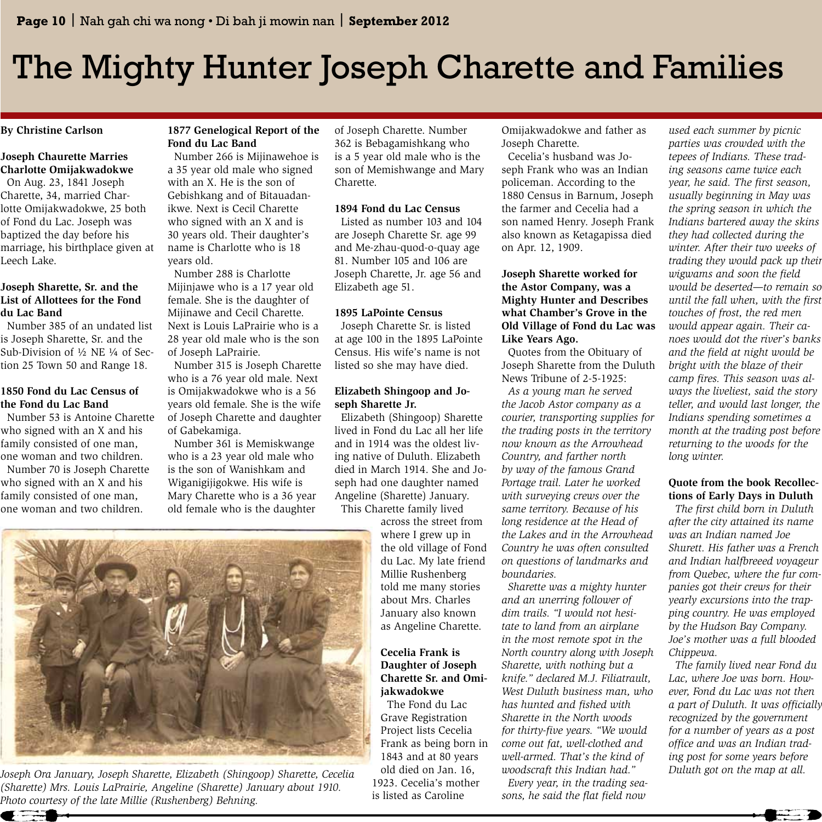## The Mighty Hunter Joseph Charette and Families

**By Christine Carlson**

### **Joseph Chaurette Marries Charlotte Omijakwadokwe**

 On Aug. 23, 1841 Joseph Charette, 34, married Charlotte Omijakwadokwe, 25 both of Fond du Lac. Joseph was baptized the day before his marriage, his birthplace given at Leech Lake.

#### **Joseph Sharette, Sr. and the List of Allottees for the Fond du Lac Band**

 Number 385 of an undated list is Joseph Sharette, Sr. and the Sub-Division of ½ NE ¼ of Section 25 Town 50 and Range 18.

#### **1850 Fond du Lac Census of the Fond du Lac Band**

 Number 53 is Antoine Charette who signed with an X and his family consisted of one man, one woman and two children. Number 70 is Joseph Charette who signed with an X and his family consisted of one man, one woman and two children.

#### **1877 Genelogical Report of the Fond du Lac Band**

 Number 266 is Mijinawehoe is a 35 year old male who signed with an X. He is the son of Gebishkang and of Bitauadanikwe. Next is Cecil Charette who signed with an X and is 30 years old. Their daughter's name is Charlotte who is 18 years old.

 Number 288 is Charlotte Mijinjawe who is a 17 year old female. She is the daughter of Mijinawe and Cecil Charette. Next is Louis LaPrairie who is a 28 year old male who is the son of Joseph LaPrairie.

 Number 315 is Joseph Charette who is a 76 year old male. Next is Omijakwadokwe who is a 56 years old female. She is the wife of Joseph Charette and daughter of Gabekamiga.

 Number 361 is Memiskwange who is a 23 year old male who is the son of Wanishkam and Wiganigijigokwe. His wife is Mary Charette who is a 36 year old female who is the daughter of Joseph Charette. Number 362 is Bebagamishkang who is a 5 year old male who is the son of Memishwange and Mary Charette.

#### **1894 Fond du Lac Census**

 Listed as number 103 and 104 are Joseph Charette Sr. age 99 and Me-zhau-quod-o-quay age 81. Number 105 and 106 are Joseph Charette, Jr. age 56 and Elizabeth age 51.

#### **1895 LaPointe Census**

 Joseph Charette Sr. is listed at age 100 in the 1895 LaPointe Census. His wife's name is not listed so she may have died.

### **Elizabeth Shingoop and Joseph Sharette Jr.**

 Elizabeth (Shingoop) Sharette lived in Fond du Lac all her life and in 1914 was the oldest living native of Duluth. Elizabeth died in March 1914. She and Joseph had one daughter named Angeline (Sharette) January.

 This Charette family lived across the street from where I grew up in the old village of Fond du Lac. My late friend Millie Rushenberg told me many stories about Mrs. Charles January also known as Angeline Charette.

### **Cecelia Frank is Daughter of Joseph Charette Sr. and Omijakwadokwe**

 The Fond du Lac Grave Registration Project lists Cecelia Frank as being born in 1843 and at 80 years old died on Jan. 16, 1923. Cecelia's mother is listed as Caroline

Omijakwadokwe and father as Joseph Charette.

 Cecelia's husband was Joseph Frank who was an Indian policeman. According to the 1880 Census in Barnum, Joseph the farmer and Cecelia had a son named Henry. Joseph Frank also known as Ketagapissa died on Apr. 12, 1909.

#### **Joseph Sharette worked for the Astor Company, was a Mighty Hunter and Describes what Chamber's Grove in the Old Village of Fond du Lac was Like Years Ago.**

 Quotes from the Obituary of Joseph Sharette from the Duluth News Tribune of 2-5-1925:

 *As a young man he served the Jacob Astor company as a courier, transporting supplies for the trading posts in the territory now known as the Arrowhead Country, and farther north by way of the famous Grand Portage trail. Later he worked with surveying crews over the same territory. Because of his long residence at the Head of the Lakes and in the Arrowhead Country he was often consulted on questions of landmarks and boundaries.* 

 *Sharette was a mighty hunter and an unerring follower of dim trails. "I would not hesitate to land from an airplane in the most remote spot in the North country along with Joseph Sharette, with nothing but a knife." declared M.J. Filiatrault, West Duluth business man, who has hunted and fished with Sharette in the North woods for thirty-five years. "We would come out fat, well-clothed and well-armed. That's the kind of woodscraft this Indian had."* 

 *Every year, in the trading seasons, he said the flat field now* 

*used each summer by picnic parties was crowded with the tepees of Indians. These trading seasons came twice each year, he said. The first season, usually beginning in May was the spring season in which the Indians bartered away the skins they had collected during the winter. After their two weeks of trading they would pack up their wigwams and soon the field would be deserted—to remain so until the fall when, with the first touches of frost, the red men would appear again. Their canoes would dot the river's banks and the field at night would be bright with the blaze of their camp fires. This season was always the liveliest, said the story teller, and would last longer, the Indians spending sometimes a month at the trading post before returning to the woods for the long winter.*

### **Quote from the book Recollections of Early Days in Duluth**

 *The first child born in Duluth after the city attained its name was an Indian named Joe Shurett. His father was a French and Indian halfbreeed voyageur from Quebec, where the fur companies got their crews for their yearly excursions into the trapping country. He was employed by the Hudson Bay Company. Joe's mother was a full blooded Chippewa.* 

 *The family lived near Fond du Lac, where Joe was born. However, Fond du Lac was not then a part of Duluth. It was officially recognized by the government for a number of years as a post office and was an Indian trading post for some years before Duluth got on the map at all.*



*Joseph Ora January, Joseph Sharette, Elizabeth (Shingoop) Sharette, Cecelia (Sharette) Mrs. Louis LaPrairie, Angeline (Sharette) January about 1910. Photo courtesy of the late Millie (Rushenberg) Behning.*

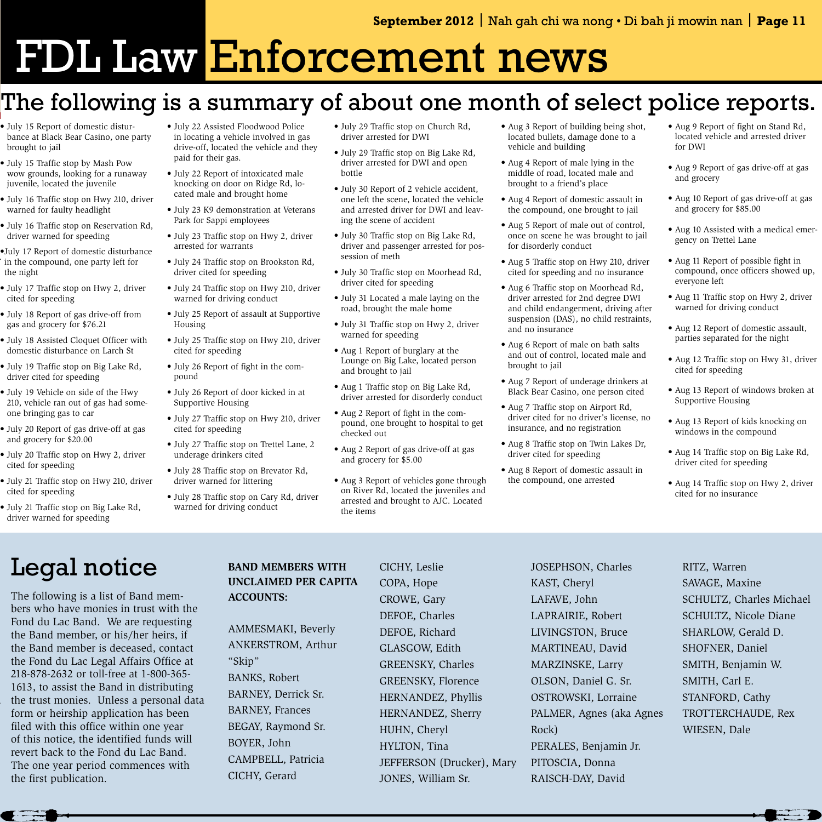# FDI Law Enforcement news

### The following is a summary of about one month of select police reports.

- July 15 Report of domestic disturbance at Black Bear Casino, one party brought to jail
- July 15 Traffic stop by Mash Pow wow grounds, looking for a runaway juvenile, located the juvenile
- July 16 Traffic stop on Hwy 210, driver warned for faulty headlight
- July 16 Traffic stop on Reservation Rd, driver warned for speeding

*Indians bartered away the skins* 

*a part of Duluth. It was officially* 

- •July 17 Report of domestic disturbance in the compound, one party left for the night *trading they would pack up their*
- July 17 Traffic stop on Hwy 2, driver cited for speeding *would be deserted—to remain so* 
	- July 18 Report of gas drive-off from gas and grocery for \$76.21
- July 18 Assisted Cloquet Officer with domestic disturbance on Larch St *noes would dot the river's banks* 
	- July 19 Traffic stop on Big Lake Rd, driver cited for speeding
	- July 19 Vehicle on side of the Hwy 210, vehicle ran out of gas had someone bringing gas to car
- July 20 Report of gas drive-off at gas and grocery for \$20.00 *month at the trading post before* 
	- July 20 Traffic stop on Hwy 2, driver cited for speeding
	- July 21 Traffic stop on Hwy 210, driver cited for speeding
	- July 21 Traffic stop on Big Lake Rd, driver warned for speeding
- July 22 Assisted Floodwood Police in locating a vehicle involved in gas drive-off, located the vehicle and they paid for their gas.
- July 22 Report of intoxicated male knocking on door on Ridge Rd, located male and brought home
- July 23 K9 demonstration at Veterans Park for Sappi employees
- July 23 Traffic stop on Hwy 2, driver arrested for warrants
- July 24 Traffic stop on Brookston Rd, driver cited for speeding
- July 24 Traffic stop on Hwy 210, driver warned for driving conduct
- July 25 Report of assault at Supportive Housing
- July 25 Traffic stop on Hwy 210, driver cited for speeding
- July 26 Report of fight in the compound
- July 26 Report of door kicked in at Supportive Housing
- July 27 Traffic stop on Hwy 210, driver cited for speeding
- July 27 Traffic stop on Trettel Lane, 2 underage drinkers cited
- July 28 Traffic stop on Brevator Rd, driver warned for littering
- July 28 Traffic stop on Cary Rd, driver warned for driving conduct
- July 29 Traffic stop on Church Rd, driver arrested for DWI
- July 29 Traffic stop on Big Lake Rd, driver arrested for DWI and open bottle
- July 30 Report of 2 vehicle accident, one left the scene, located the vehicle and arrested driver for DWI and leaving the scene of accident
- July 30 Traffic stop on Big Lake Rd, driver and passenger arrested for possession of meth
- July 30 Traffic stop on Moorhead Rd, driver cited for speeding
- July 31 Located a male laying on the road, brought the male home
- July 31 Traffic stop on Hwy 2, driver warned for speeding
- Aug 1 Report of burglary at the Lounge on Big Lake, located person and brought to jail
- Aug 1 Traffic stop on Big Lake Rd, driver arrested for disorderly conduct
- Aug 2 Report of fight in the compound, one brought to hospital to get checked out
- Aug 2 Report of gas drive-off at gas and grocery for \$5.00
- Aug 3 Report of vehicles gone through on River Rd, located the juveniles and arrested and brought to AJC. Located the items
- Aug 3 Report of building being shot, located bullets, damage done to a vehicle and building
- Aug 4 Report of male lying in the middle of road, located male and brought to a friend's place
- Aug 4 Report of domestic assault in the compound, one brought to jail
- Aug 5 Report of male out of control, once on scene he was brought to jail for disorderly conduct
- Aug 5 Traffic stop on Hwy 210, driver cited for speeding and no insurance
- Aug 6 Traffic stop on Moorhead Rd, driver arrested for 2nd degree DWI and child endangerment, driving after suspension (DAS), no child restraints, and no insurance
- Aug 6 Report of male on bath salts and out of control, located male and brought to jail
- Aug 7 Report of underage drinkers at Black Bear Casino, one person cited
- Aug 7 Traffic stop on Airport Rd, driver cited for no driver's license, no insurance, and no registration
- Aug 8 Traffic stop on Twin Lakes Dr, driver cited for speeding
- Aug 8 Report of domestic assault in the compound, one arrested
- Aug 9 Report of fight on Stand Rd, located vehicle and arrested driver for DWI
- Aug 9 Report of gas drive-off at gas and grocery
- Aug 10 Report of gas drive-off at gas and grocery for \$85.00
- Aug 10 Assisted with a medical emergency on Trettel Lane
- Aug 11 Report of possible fight in compound, once officers showed up, everyone left
- Aug 11 Traffic stop on Hwy 2, driver warned for driving conduct
- Aug 12 Report of domestic assault, parties separated for the night
- Aug 12 Traffic stop on Hwy 31, driver cited for speeding
- Aug 13 Report of windows broken at Supportive Housing
- Aug 13 Report of kids knocking on windows in the compound
- Aug 14 Traffic stop on Big Lake Rd, driver cited for speeding
- Aug 14 Traffic stop on Hwy 2, driver cited for no insurance

### Legal notice

The following is a list of Band members who have monies in trust with the Fond du Lac Band. We are requesting the Band member, or his/her heirs, if the Band member is deceased, contact the Fond du Lac Legal Affairs Office at 218-878-2632 or toll-free at 1-800-365- 1613, to assist the Band in distributing the trust monies. Unless a personal data form or heirship application has been filed with this office within one year of this notice, the identified funds will revert back to the Fond du Lac Band. The one year period commences with the first publication.

### **BAND MEMBERS WITH UNCLAIMED PER CAPITA ACCOUNTS:**

AMMESMAKI, Beverly ANKERSTROM, Arthur "Skip" BANKS, Robert BARNEY, Derrick Sr. BARNEY, Frances BEGAY, Raymond Sr. BOYER, John CAMPBELL, Patricia CICHY, Gerard

CICHY, Leslie COPA, Hope CROWE, Gary DEFOE, Charles DEFOE, Richard GLASGOW, Edith GREENSKY, Charles GREENSKY, Florence HERNANDEZ, Phyllis HERNANDEZ, Sherry HUHN, Cheryl HYLTON, Tina JEFFERSON (Drucker), Mary JONES, William Sr.

JOSEPHSON, Charles KAST, Cheryl LAFAVE, John LAPRAIRIE, Robert LIVINGSTON, Bruce MARTINEAU, David MARZINSKE, Larry OLSON, Daniel G. Sr. OSTROWSKI, Lorraine PALMER, Agnes (aka Agnes Rock) PERALES, Benjamin Jr. PITOSCIA, Donna RAISCH-DAY, David

RITZ, Warren SAVAGE, Maxine SCHULTZ, Charles Michael SCHULTZ, Nicole Diane SHARLOW, Gerald D. SHOFNER, Daniel SMITH, Benjamin W. SMITH, Carl E. STANFORD, Cathy TROTTERCHAUDE, Rex WIESEN, Dale



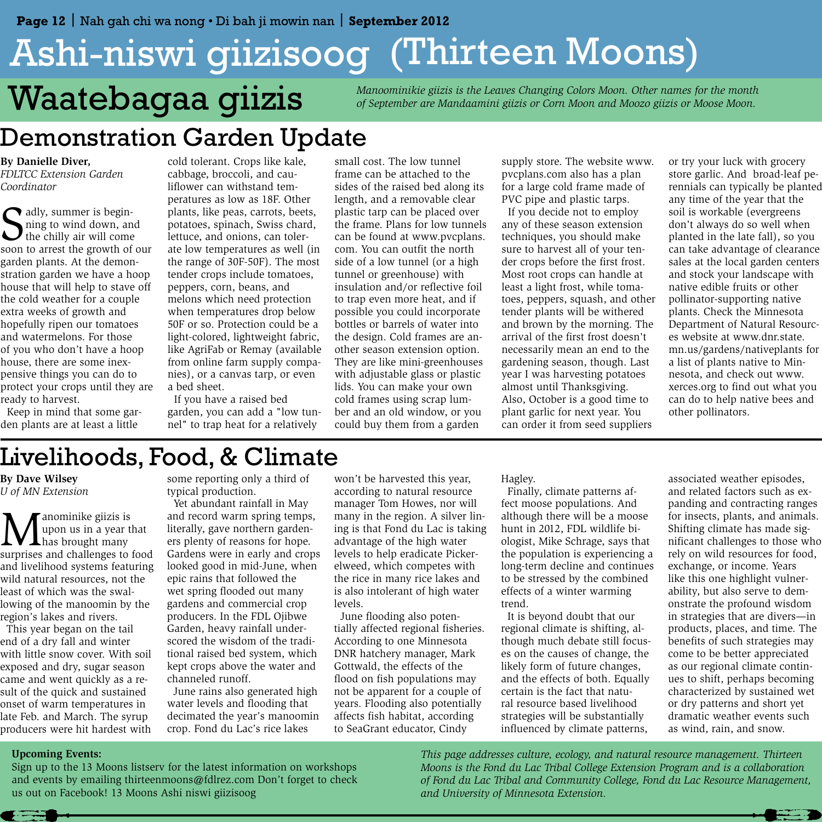# Ashi-niswi giizisoog (Thirteen Moons) *Maatebagaa giizis Manoominikie giizis is the Leaves Changing Colors Moon. Other names for the month* of September are Mandaamini giizis or Corn Moon and Moozo giizis or Moose Moon.

### Demonstration Garden Update

**By Danielle Diver,**  *FDLTCC Extension Garden Coordinator*

S<sub>son</sub> adly, summer is beginning to wind down, and the chilly air will come soon to arrest the growth of our garden plants. At the demonstration garden we have a hoop house that will help to stave off the cold weather for a couple extra weeks of growth and hopefully ripen our tomatoes and watermelons. For those of you who don't have a hoop house, there are some inexpensive things you can do to protect your crops until they are ready to harvest.

 Keep in mind that some garden plants are at least a little

cold tolerant. Crops like kale, cabbage, broccoli, and cauliflower can withstand temperatures as low as 18F. Other plants, like peas, carrots, beets, potatoes, spinach, Swiss chard, lettuce, and onions, can tolerate low temperatures as well (in the range of 30F-50F). The most tender crops include tomatoes, peppers, corn, beans, and melons which need protection when temperatures drop below 50F or so. Protection could be a light-colored, lightweight fabric, like AgriFab or Remay (available from online farm supply companies), or a canvas tarp, or even a bed sheet.

 If you have a raised bed garden, you can add a "low tunnel" to trap heat for a relatively

small cost. The low tunnel frame can be attached to the sides of the raised bed along its length, and a removable clear plastic tarp can be placed over the frame. Plans for low tunnels can be found at www.pvcplans. com. You can outfit the north side of a low tunnel (or a high tunnel or greenhouse) with insulation and/or reflective foil to trap even more heat, and if possible you could incorporate bottles or barrels of water into the design. Cold frames are another season extension option. They are like mini-greenhouses with adjustable glass or plastic lids. You can make your own cold frames using scrap lumber and an old window, or you could buy them from a garden

supply store. The website www. pvcplans.com also has a plan for a large cold frame made of PVC pipe and plastic tarps.

 If you decide not to employ any of these season extension techniques, you should make sure to harvest all of your tender crops before the first frost. Most root crops can handle at least a light frost, while tomatoes, peppers, squash, and other tender plants will be withered and brown by the morning. The arrival of the first frost doesn't necessarily mean an end to the gardening season, though. Last year I was harvesting potatoes almost until Thanksgiving. Also, October is a good time to plant garlic for next year. You can order it from seed suppliers

or try your luck with grocery store garlic. And broad-leaf perennials can typically be planted any time of the year that the soil is workable (evergreens don't always do so well when planted in the late fall), so you can take advantage of clearance sales at the local garden centers and stock your landscape with native edible fruits or other pollinator-supporting native plants. Check the Minnesota Department of Natural Resources website at www.dnr.state. mn.us/gardens/nativeplants for a list of plants native to Minnesota, and check out www. xerces.org to find out what you can do to help native bees and other pollinators.

### Livelihoods, Food, & Climate

**By Dave Wilsey**  *U of MN Extension*

**M** anominike giizis is<br>has brought many<br>surprises and challenges to i upon us in a year that surprises and challenges to food and livelihood systems featuring wild natural resources, not the least of which was the swallowing of the manoomin by the region's lakes and rivers.

 This year began on the tail end of a dry fall and winter with little snow cover. With soil exposed and dry, sugar season came and went quickly as a result of the quick and sustained onset of warm temperatures in late Feb. and March. The syrup producers were hit hardest with

some reporting only a third of typical production.

 Yet abundant rainfall in May and record warm spring temps, literally, gave northern gardeners plenty of reasons for hope. Gardens were in early and crops looked good in mid-June, when epic rains that followed the wet spring flooded out many gardens and commercial crop producers. In the FDL Ojibwe Garden, heavy rainfall underscored the wisdom of the traditional raised bed system, which kept crops above the water and channeled runoff.

 June rains also generated high water levels and flooding that decimated the year's manoomin crop. Fond du Lac's rice lakes

won't be harvested this year, according to natural resource manager Tom Howes, nor will many in the region. A silver lining is that Fond du Lac is taking advantage of the high water levels to help eradicate Pickerelweed, which competes with the rice in many rice lakes and is also intolerant of high water levels.

 June flooding also potentially affected regional fisheries. According to one Minnesota DNR hatchery manager, Mark Gottwald, the effects of the flood on fish populations may not be apparent for a couple of years. Flooding also potentially affects fish habitat, according to SeaGrant educator, Cindy

Hagley.

 Finally, climate patterns affect moose populations. And although there will be a moose hunt in 2012, FDL wildlife biologist, Mike Schrage, says that the population is experiencing a long-term decline and continues to be stressed by the combined effects of a winter warming trend.

 It is beyond doubt that our regional climate is shifting, although much debate still focuses on the causes of change, the likely form of future changes, and the effects of both. Equally certain is the fact that natural resource based livelihood strategies will be substantially influenced by climate patterns,

associated weather episodes, and related factors such as expanding and contracting ranges for insects, plants, and animals. Shifting climate has made significant challenges to those who rely on wild resources for food, exchange, or income. Years like this one highlight vulnerability, but also serve to demonstrate the profound wisdom in strategies that are divers—in products, places, and time. The benefits of such strategies may come to be better appreciated as our regional climate continues to shift, perhaps becoming characterized by sustained wet or dry patterns and short yet dramatic weather events such as wind, rain, and snow.

### **Upcoming Events:**

Sign up to the 13 Moons listserv for the latest information on workshops and events by emailing thirteenmoons@fdlrez.com Don't forget to check us out on Facebook! 13 Moons Ashi niswi giizisoog

*This page addresses culture, ecology, and natural resource management. Thirteen Moons is the Fond du Lac Tribal College Extension Program and is a collaboration of Fond du Lac Tribal and Community College, Fond du Lac Resource Management, and University of Minnesota Extension.*

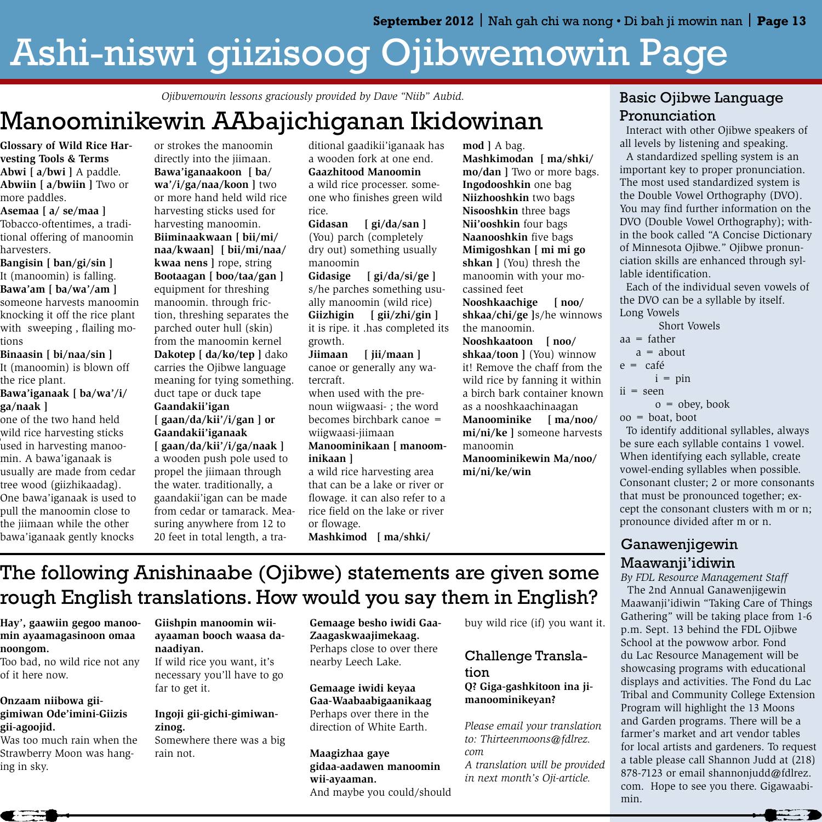# Ashi-niswi giizisoog Ojibwemowin Page

*Ojibwemowin lessons graciously provided by Dave "Niib" Aubid.*

### Manoominikewin AAbajichiganan Ikidowinan

 $\prime$ **Glossary of Wild Rice Harvesting Tools & Terms Abwi [ a/bwi ]** A paddle. **Abwiin [ a/bwiin ]** Two or more paddles.

can take advantage of clearance **Asemaa [ a/ se/maa ]** Tobacco-oftentimes, a traditional offering of manoomin harvesters.

> **Bangisin [ ban/gi/sin ]** It (manoomin) is falling. **Bawa'am [ ba/wa'/am ]**

sales at the local garden centers

someone harvests manoomin knocking it off the rice plant with sweeping , flailing motions

mn.us/gardens/nativeplants for **Binaasin [ bi/naa/sin ]**  It (manoomin) is blown off the rice plant.

> **Bawa'iganaak [ ba/wa'/i/ ga/naak ]**

one of the two hand held wild rice harvesting sticks used in harvesting manoomin. A bawa'iganaak is usually are made from cedar tree wood (giizhikaadag). One bawa'iganaak is used to pull the manoomin close to the jiimaan while the other bawa'iganaak gently knocks

or strokes the manoomin directly into the jiimaan. **Bawa'iganaakoon [ ba/ wa'/i/ga/naa/koon ]** two or more hand held wild rice harvesting sticks used for harvesting manoomin. **Biiminaakwaan [ bii/mi/ naa/kwaan] [ bii/mi/naa/ kwaa nens ]** rope, string **Bootaagan [ boo/taa/gan ]** equipment for threshing manoomin. through friction, threshing separates the parched outer hull (skin) from the manoomin kernel **Dakotep [ da/ko/tep ]** dako carries the Ojibwe language meaning for tying something. duct tape or duck tape **Gaandakii'igan [ gaan/da/kii'/i/gan ] or Gaandakii'iganaak [ gaan/da/kii'/i/ga/naak ]**  a wooden push pole used to propel the jiimaan through the water. traditionally, a gaandakii'igan can be made from cedar or tamarack. Measuring anywhere from 12 to 20 feet in total length, a tra-

ditional gaadikii'iganaak has a wooden fork at one end. **Gaazhitood Manoomin** a wild rice processer. someone who finishes green wild rice.

**Gidasan [ gi/da/san ]** (You) parch (completely dry out) something usually manoomin

**Gidasige [ gi/da/si/ge ]** s/he parches something usually manoomin (wild rice) **Giizhigin [ gii/zhi/gin ]** it is ripe. it .has completed its growth.

**Jiimaan [ jii/maan ]** canoe or generally any watercraft.

when used with the prenoun wiigwaasi- ; the word becomes birchbark canoe = wiigwaasi-jiimaan

**Manoominikaan [ manoominikaan ]**

a wild rice harvesting area that can be a lake or river or flowage. it can also refer to a rice field on the lake or river or flowage. **Mashkimod [ ma/shki/**

**mod ]** A bag. **Mashkimodan [ ma/shki/ mo/dan ]** Two or more bags. **Ingodooshkin** one bag **Niizhooshkin** two bags **Nisooshkin** three bags **Nii'ooshkin** four bags **Naanooshkin** five bags **Mimigoshkan [ mi mi go shkan ]** (You) thresh the manoomin with your mocassined feet

**Nooshkaachige [ noo/ shkaa/chi/ge ]**s/he winnows the manoomin.

**Nooshkaatoon [ noo/ shkaa/toon ]** (You) winnow it! Remove the chaff from the wild rice by fanning it within a birch bark container known as a nooshkaachinaagan **Manoominike [ ma/noo/ mi/ni/ke ]** someone harvests manoomin

**Manoominikewin Ma/noo/ mi/ni/ke/win**

### Basic Ojibwe Language Pronunciation

 Interact with other Ojibwe speakers of all levels by listening and speaking.

 A standardized spelling system is an important key to proper pronunciation. The most used standardized system is the Double Vowel Orthography (DVO). You may find further information on the DVO (Double Vowel Orthography); within the book called "A Concise Dictionary of Minnesota Ojibwe." Ojibwe pronunciation skills are enhanced through syllable identification.

 Each of the individual seven vowels of the DVO can be a syllable by itself. Long Vowels

| Short Vowels                                                                                                                                                                                                                                                                                  |
|-----------------------------------------------------------------------------------------------------------------------------------------------------------------------------------------------------------------------------------------------------------------------------------------------|
| aa = father                                                                                                                                                                                                                                                                                   |
| $a = about$                                                                                                                                                                                                                                                                                   |
| e = café                                                                                                                                                                                                                                                                                      |
| $i = pin$                                                                                                                                                                                                                                                                                     |
| ii = seen                                                                                                                                                                                                                                                                                     |
| $o = obey, book$                                                                                                                                                                                                                                                                              |
| oo = boat, boot                                                                                                                                                                                                                                                                               |
| $\tau$ . $\tau$ . $\tau$ . $\tau$ . $\tau$ . $\tau$ . $\tau$ . $\tau$ . $\tau$ . $\tau$ . $\tau$ . $\tau$ . $\tau$ . $\tau$ . $\tau$ . $\tau$ . $\tau$ . $\tau$ . $\tau$ . $\tau$ . $\tau$ . $\tau$ . $\tau$ . $\tau$ . $\tau$ . $\tau$ . $\tau$ . $\tau$ . $\tau$ . $\tau$ . $\tau$ . $\tau$ |

 To identify additional syllables, always be sure each syllable contains 1 vowel. When identifying each syllable, create vowel-ending syllables when possible. Consonant cluster; 2 or more consonants that must be pronounced together; except the consonant clusters with m or n; pronounce divided after m or n.

### Ganawenjigewin Maawanji'idiwin

*By FDL Resource Management Staff* The 2nd Annual Ganawenjigewin

Maawanji'idiwin "Taking Care of Things Gathering" will be taking place from 1-6 p.m. Sept. 13 behind the FDL Ojibwe School at the powwow arbor. Fond du Lac Resource Management will be showcasing programs with educational displays and activities. The Fond du Lac Tribal and Community College Extension Program will highlight the 13 Moons and Garden programs. There will be a farmer's market and art vendor tables for local artists and gardeners. To request a table please call Shannon Judd at (218) 878-7123 or email shannonjudd@fdlrez. com. Hope to see you there. Gigawaabimin.

 $\leftarrow$   $\bullet$ 

### The following Anishinaabe (Ojibwe) statements are given some rough English translations. How would you say them in English?

**Hay', gaawiin gegoo manoomin ayaamagasinoon omaa noongom.**

Too bad, no wild rice not any of it here now.

#### **Onzaam niibowa giigimiwan Ode'imini-Giizis gii-agoojid.**

Was too much rain when the Strawberry Moon was hanging in sky.

**Giishpin manoomin wiiayaaman booch waasa danaadiyan.**  If wild rice you want, it's

necessary you'll have to go far to get it.

### **Ingoji gii-gichi-gimiwanzinog.**

Somewhere there was a big rain not.

**Gemaage besho iwidi Gaa-Zaagaskwaajimekaag.** Perhaps close to over there nearby Leech Lake.

**Gemaage iwidi keyaa Gaa-Waabaabigaanikaag** Perhaps over there in the direction of White Earth.

**Maagizhaa gaye gidaa-aadawen manoomin wii-ayaaman.** And maybe you could/should buy wild rice (if) you want it.

### Challenge Translation

**Q? Giga-gashkitoon ina jimanoominikeyan?**

*Please email your translation to: Thirteenmoons@fdlrez. com A translation will be provided in next month's Oji-article.*

 $\blacksquare$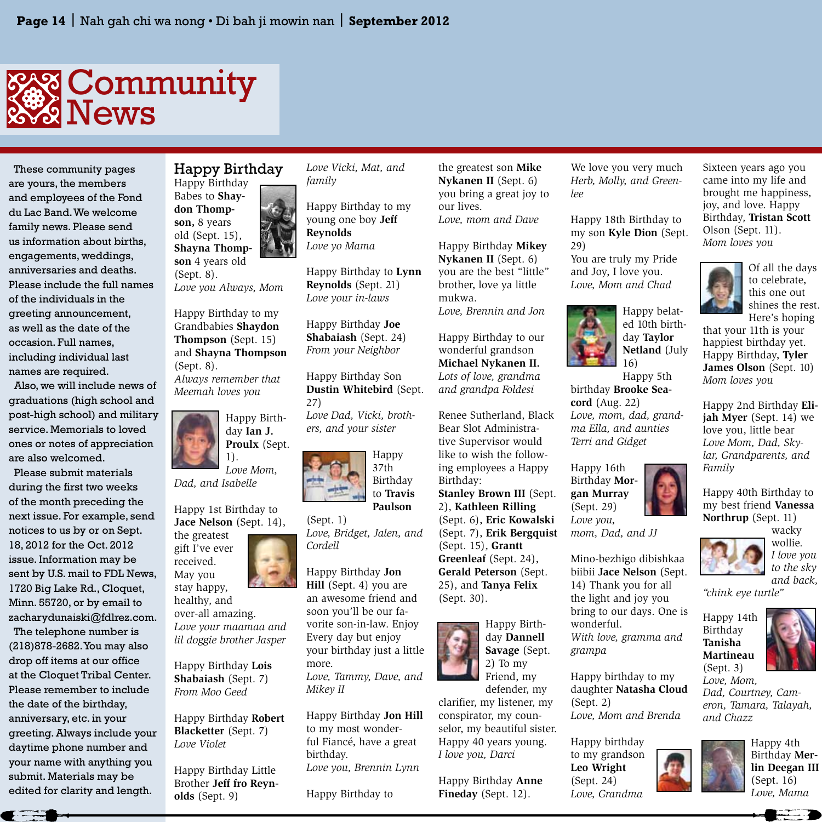

 These community pages are yours, the members and employees of the Fond du Lac Band. We welcome family news. Please send us information about births, engagements, weddings, anniversaries and deaths. Please include the full names of the individuals in the greeting announcement, as well as the date of the occasion. Full names, including individual last names are required.

 Also, we will include news of graduations (high school and post-high school) and military service. Memorials to loved ones or notes of appreciation are also welcomed.

 Please submit materials during the first two weeks of the month preceding the next issue. For example, send notices to us by or on Sept. 18, 2012 for the Oct. 2012 issue. Information may be sent by U.S. mail to FDL News, 1720 Big Lake Rd., Cloquet, Minn. 55720, or by email to zacharydunaiski@fdlrez.com. The telephone number is (218)878-2682. You may also drop off items at our office at the Cloquet Tribal Center. Please remember to include the date of the birthday, anniversary, etc. in your greeting. Always include your daytime phone number and your name with anything you submit. Materials may be edited for clarity and length.

**The Second Second** 



**son** 4 years old (Sept. 8). *Love you Always, Mom*

Happy Birthday to my Grandbabies **Shaydon Thompson** (Sept. 15) and **Shayna Thompson** (Sept. 8). *Always remember that* 

*Meemah loves you*



1). *Love Mom, Dad, and Isabelle*

Happy 1st Birthday to **Jace Nelson** (Sept. 14),

the greatest gift I've ever received. May you stay happy,

healthy, and over-all amazing. *Love your maamaa and lil doggie brother Jasper*

Happy Birthday **Lois Shabaiash** (Sept. 7) *From Moo Geed*

Happy Birthday **Robert Blacketter** (Sept. 7) *Love Violet*

Happy Birthday Little Brother **Jeff fro Reynolds** (Sept. 9)

*Love Vicki, Mat, and family*

Happy Birthday to my young one boy **Jeff Reynolds** *Love yo Mama*

Happy Birthday to **Lynn Reynolds** (Sept. 21) *Love your in-laws*

Happy Birthday **Joe Shabaiash** (Sept. 24) *From your Neighbor*

Happy Birthday Son **Dustin Whitebird** (Sept. 27)

*Love Dad, Vicki, brothers, and your sister*





Happy

(Sept. 1) *Love, Bridget, Jalen, and Cordell*

Happy Birthday **Jon Hill** (Sept. 4) you are an awesome friend and soon you'll be our favorite son-in-law. Enjoy Every day but enjoy your birthday just a little more.

*Love, Tammy, Dave, and Mikey II*

Happy Birthday **Jon Hill**  to my most wonderful Fiancé, have a great birthday. *Love you, Brennin Lynn*

Happy Birthday to

the greatest son **Mike Nykanen II** (Sept. 6) you bring a great joy to our lives. *Love, mom and Dave*

Happy Birthday **Mikey Nykanen II** (Sept. 6) you are the best "little" brother, love ya little mukwa. *Love, Brennin and Jon*

Happy Birthday to our wonderful grandson **Michael Nykanen II.** *Lots of love, grandma and grandpa Foldesi*

Renee Sutherland, Black Bear Slot Administrative Supervisor would like to wish the following employees a Happy Birthday: **Stanley Brown III** (Sept.

2), **Kathleen Rilling**  (Sept. 6), **Eric Kowalski**  (Sept. 7), **Erik Bergquist**  (Sept. 15), **Grantt Greenleaf** (Sept. 24), **Gerald Peterson** (Sept. 25), and **Tanya Felix**  (Sept. 30).

Happy Birthday **Dannell Savage** (Sept. 2) To my Friend, my

defender, my clarifier, my listener, my conspirator, my counselor, my beautiful sister. Happy 40 years young. *I love you, Darci* 

Happy Birthday **Anne Fineday** (Sept. 12).

We love you very much *Herb, Molly, and Greenlee*

Happy 18th Birthday to my son **Kyle Dion** (Sept. 29)

You are truly my Pride and Joy, I love you. *Love, Mom and Chad*



Happy belated 10th birthday **Taylor Netland** (July 16) Happy 5th

birthday **Brooke Seacord** (Aug. 22) *Love, mom, dad, grandma Ella, and aunties Terri and Gidget*

Happy 16th Birthday **Morgan Murray** (Sept. 29) *Love you,* 

*mom, Dad, and JJ*

Mino-bezhigo dibishkaa biibii **Jace Nelson** (Sept. 14) Thank you for all the light and joy you bring to our days. One is wonderful. *With love, gramma and grampa*

Happy birthday to my daughter **Natasha Cloud** (Sept. 2) *Love, Mom and Brenda*

Happy birthday to my grandson **Leo Wright**  (Sept. 24) *Love, Grandma* 

Sixteen years ago you came into my life and brought me happiness, joy, and love. Happy Birthday, **Tristan Scott**  Olson (Sept. 11). *Mom loves you* 



to celebrate, this one out shines the rest. Here's hoping

Of all the days

that your 11th is your happiest birthday yet. Happy Birthday, **Tyler James Olson** (Sept. 10) *Mom loves you* 

Happy 2nd Birthday **Elijah Myer** (Sept. 14) we love you, little bear *Love Mom, Dad, Skylar, Grandparents, and Family*

Happy 40th Birthday to my best friend **Vanessa Northrup** (Sept. 11)

*"chink eye turtle"*

Happy 14th Birthday **Tanisha Martineau**  (Sept. 3)



wacky wollie. *I love you to the sky and back,* 

*Love, Mom, Dad, Courtney, Cameron, Tamara, Talayah, and Chazz*



Happy 4th Birthday **Merlin Deegan III**  (Sept. 16) *Love, Mama*





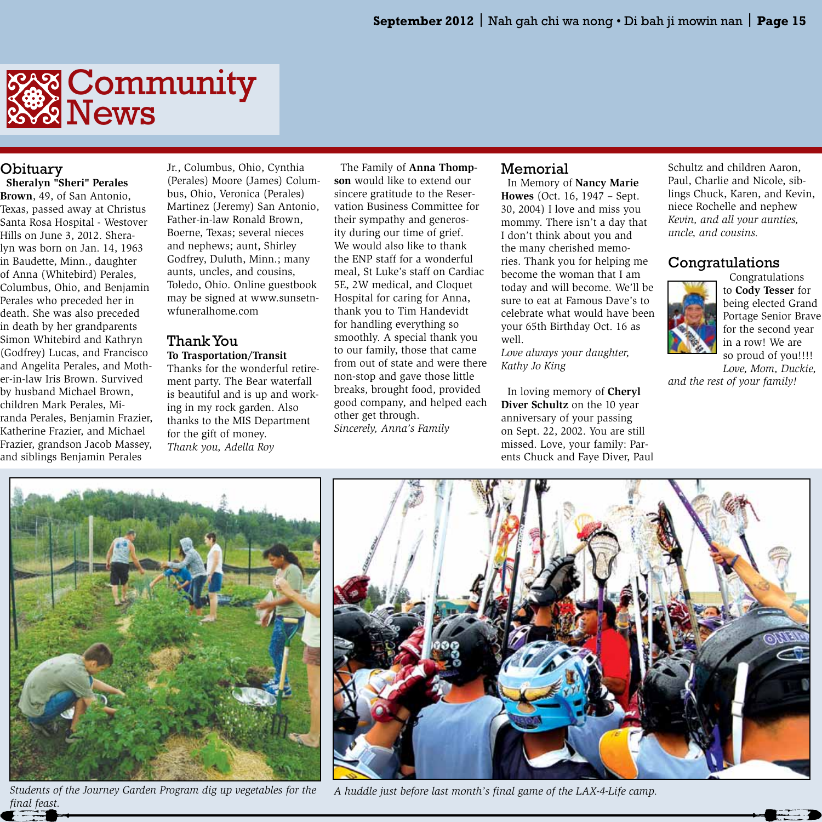

### Obituary

 **Sheralyn "Sheri" Perales Brown**, 49, of San Antonio, Texas, passed away at Christus Santa Rosa Hospital - Westover Hills on June 3, 2012. Sheralyn was born on Jan. 14, 1963 in Baudette, Minn., daughter of Anna (Whitebird) Perales, Columbus, Ohio, and Benjamin Perales who preceded her in death. She was also preceded in death by her grandparents Simon Whitebird and Kathryn (Godfrey) Lucas, and Francisco and Angelita Perales, and Mother-in-law Iris Brown. Survived by husband Michael Brown, children Mark Perales, Miranda Perales, Benjamin Frazier, Katherine Frazier, and Michael Frazier, grandson Jacob Massey, and siblings Benjamin Perales

Jr., Columbus, Ohio, Cynthia (Perales) Moore (James) Columbus, Ohio, Veronica (Perales) Martinez (Jeremy) San Antonio, Father-in-law Ronald Brown, Boerne, Texas; several nieces and nephews; aunt, Shirley Godfrey, Duluth, Minn.; many aunts, uncles, and cousins, Toledo, Ohio. Online guestbook may be signed at www.sunsetnwfuneralhome.com

### Thank You

**To Trasportation/Transit** Thanks for the wonderful retirement party. The Bear waterfall is beautiful and is up and working in my rock garden. Also thanks to the MIS Department for the gift of money. *Thank you, Adella Roy*

 The Family of **Anna Thompson** would like to extend our sincere gratitude to the Reservation Business Committee for their sympathy and generosity during our time of grief. We would also like to thank the ENP staff for a wonderful meal, St Luke's staff on Cardiac 5E, 2W medical, and Cloquet Hospital for caring for Anna, thank you to Tim Handevidt for handling everything so smoothly. A special thank you to our family, those that came from out of state and were there non-stop and gave those little breaks, brought food, provided good company, and helped each other get through. *Sincerely, Anna's Family*

### Memorial

 In Memory of **Nancy Marie Howes** (Oct. 16, 1947 – Sept. 30, 2004) I love and miss you mommy. There isn't a day that I don't think about you and the many cherished memories. Thank you for helping me become the woman that I am today and will become. We'll be sure to eat at Famous Dave's to celebrate what would have been your 65th Birthday Oct. 16 as well.

*Love always your daughter, Kathy Jo King*

 In loving memory of **Cheryl Diver Schultz** on the 10 year anniversary of your passing on Sept. 22, 2002. You are still missed. Love, your family: Parents Chuck and Faye Diver, Paul Schultz and children Aaron, Paul, Charlie and Nicole, siblings Chuck, Karen, and Kevin, niece Rochelle and nephew *Kevin, and all your aunties, uncle, and cousins.*

### Congratulations



 Congratulations to **Cody Tesser** for being elected Grand Portage Senior Brave for the second year in a row! We are so proud of you!!!! *Love, Mom, Duckie,* 

*and the rest of your family!* 



*final feast.*



*Students of the Journey Garden Program dig up vegetables for the A huddle just before last month's final game of the LAX-4-Life camp.*